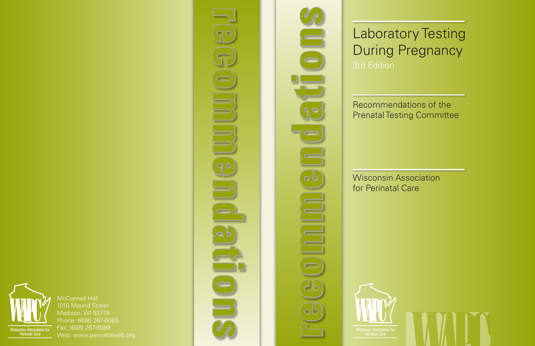**recommendations**<br> **recommendation**<br> **recommendations** of the<br> **renatal Testing Committee**<br> **recommendations** of the<br> **renatal Testing Committee**<br> **of Definitial Care**<br> **of Definitial Care** 

# During Pregnancy 3rd Edition

Recommendations of the Prenatal Testing Committee

Wisconsin Association for Perinatal Care



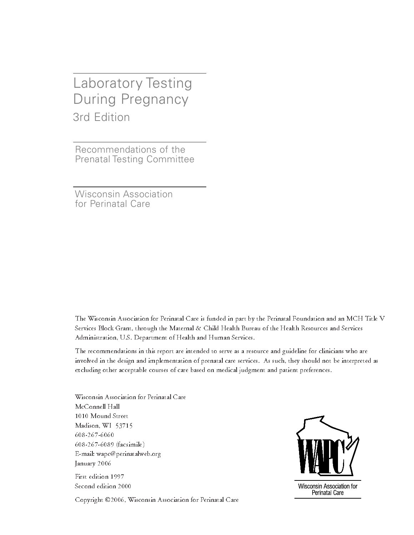### Laboratory Testing During Pregnancy 3rd Edition

Recommendations of the Prenatal Testing Committee

Wisconsin Association for Perinatal Care

The Wisconsin Association for Perinatal Care is funded in part by the Perinatal Foundation and an MCH Title V Services Block Grant, through the Maternal & Child Health Bureau of the Health Resources and Services Administration, U.S. Department of Health and Human Services.

The recommendations in this report are intended to serve as a resource and guideline for clinicians who are involved in the design and implementation of prenatal care services. As such, they should not be interpreted as excluding other acceptable courses of care based on medical judgment and patient preferences.

Wisconsin Association for Perinatal Care McConnell Hall 1010 Mound Street Madison, WI 53715 608-267-6060 608-267-6089 (facsimile) E-mail: wapc@perinatalweb.org January 2006 First edition 1997 Second edition 2000

Copyright ©2006, Wisconsin Association for Perinatal Care

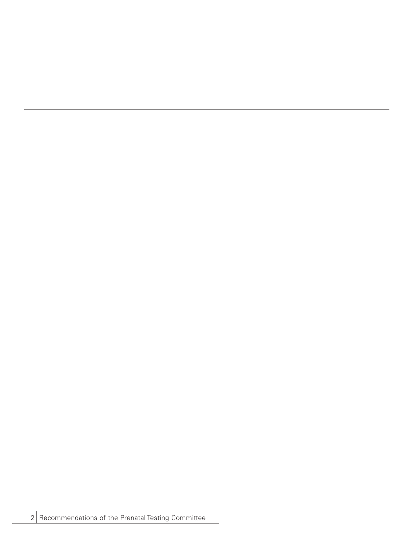2 Recommendations of the Prenatal Testing Committee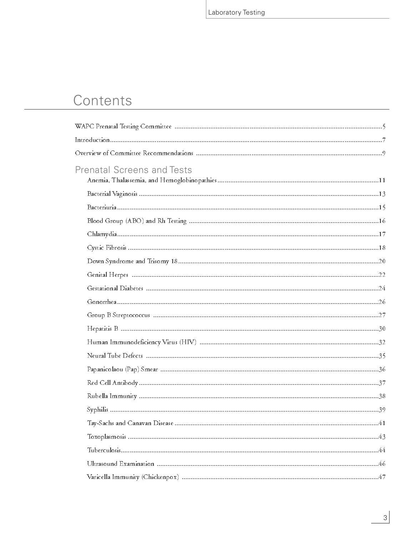# Contents

| <b>Prenatal Screens and Tests</b> |  |
|-----------------------------------|--|
|                                   |  |
|                                   |  |
|                                   |  |
|                                   |  |
|                                   |  |
|                                   |  |
|                                   |  |
|                                   |  |
|                                   |  |
|                                   |  |
|                                   |  |
|                                   |  |
|                                   |  |
|                                   |  |
|                                   |  |
|                                   |  |
|                                   |  |
|                                   |  |
|                                   |  |
|                                   |  |
|                                   |  |
|                                   |  |

 $\overline{3}$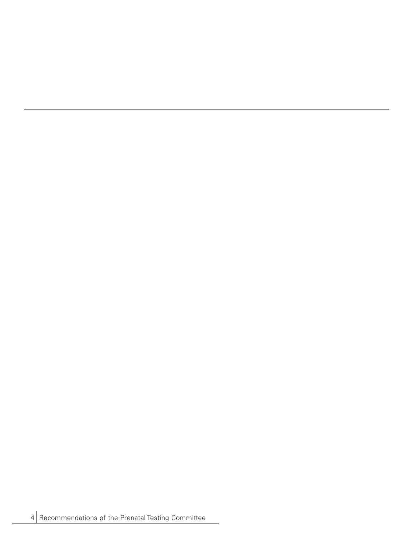4 Recommendations of the Prenatal Testing Committee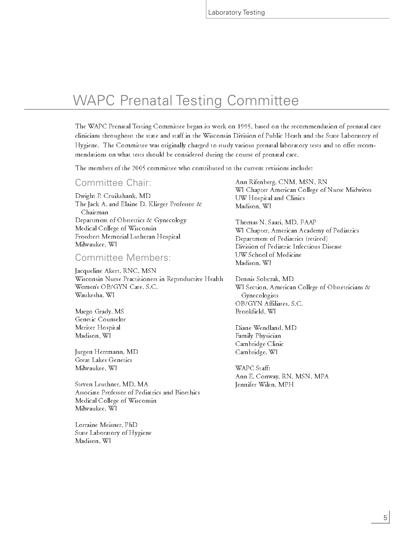### WAPC Prenatal Testing Committee

The WAPC Prenatal Testing Committee began its work on 1995, based on the recommendation of prenatal care clinicians throughout the state and staff in the Wisconsin Division of Public Heath and the State Laboratory of Hygiene. The Committee was originally charged to study various prenatal laboratory tests and to offer recommendations on what tests should be considered during the course of prenatal care.

The members of the 2005 committee who contributed to the current revisions include:

### Committee Chair:

Dwight P. Cruikshank, MD The Jack A. and Elaine D. Klieger Professor & Chairman Department of Obstetrics & Gynecology Medical College of Wisconsin Froedtert Memorial Lutheran Hospital Milwaukee, WI

### Committee Members:

Jacqueline Akert, RNC, MSN Wisconsin Nurse Practitioners in Reproductive Health Women's OB/GYN Care. S.C. Waukesha, WI

Margo Grady, MS Genetic Counselor Meriter Hospital Madison, WI

Jurgen Herrmann, MD Great Lakes Genetics Milwaukee, WI

Steven Leuthner, MD, MA Associate Professor of Pediatrics and Bioethics Medical College of Wisconsin Milwaukee, WI

Lorraine Meisner, PhD State Laboratory of Hygiene Madison, WI

Ann Rifenberg, CNM, MSN, RN WI Chapter American College of Nurse Midwives UW Hospital and Clinics Madison, WI

Thomas N. Saari, MD, FAAP WI Chapter, American Academy of Pediatrics Department of Pediatrics (retired) Division of Pediatric Infectious Disease UW School of Medicine Madison, WI

Dennis Sobczak, MD WI Section, American College of Obstetricians & Gynecologists OB/GYN Affiliates, S.C. Brookfield, WI

Diane Wendland, MD Family Physician Cambridge Clinic Cambridge, WI

WAPC Staff: Ann E. Conway, RN, MSN, MPA Jennifer Wilen, MPH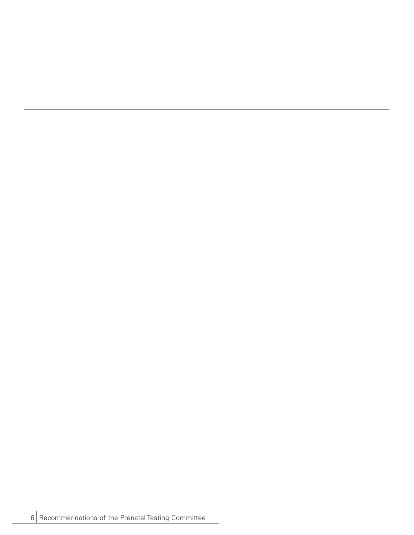6 Recommendations of the Prenatal Testing Committee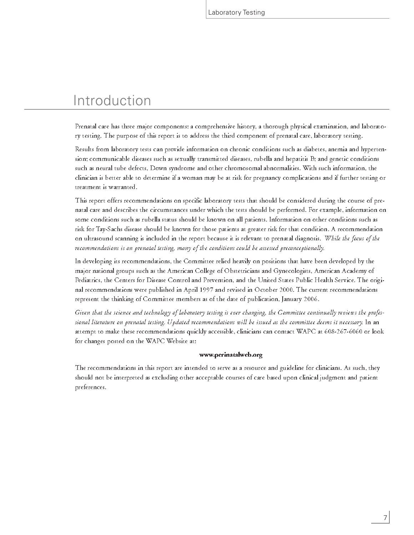### Introduction

Prenatal care has three major components: a comprehensive history, a thorough physical examination, and laboratory testing. The purpose of this report is to address the third component of prenatal care, laboratory testing.

Results from laboratory tests can provide information on chronic conditions such as diabetes, anemia and hypertension; communicable diseases such as sexually transmitted diseases, rubella and hepatitis B; and genetic conditions such as neural tube defects, Down syndrome and other chromosomal abnormalities. With such information, the clinician is better able to determine if a woman may be at risk for pregnancy complications and if further testing or treatment is warranted.

This report offers recommendations on specific laboratory tests that should be considered during the course of prenatal care and describes the circumstances under which the tests should be performed. For example, information on some conditions such as rubella status should be known on all patients. Information on other conditions such as risk for Tay-Sachs disease should be known for those patients at greater risk for that condition. A recommendation on ultrasound scanning is included in the report because it is relevant to prenatal diagnosis. While the focus of the recommendations is on prenatal testing, many of the conditions could be assessed preconceptionally.

In developing its recommendations, the Committee relied heavily on positions that have been developed by the major national groups such as the American College of Obstetricians and Gynecologists, American Academy of Pediatrics, the Centers for Disease Control and Prevention, and the United States Public Health Service. The original recommendations were published in April 1997 and revised in October 2000. The current recommendations represent the thinking of Committee members as of the date of publication, January 2006.

Given that the science and technology of laboratory testing is ever changing, the Committee continually reviews the professional literature on prenatal testing. Updated recommendations will be issued as the committee deems it necessary. In an attempt to make these recommendations quickly accessible, clinicians can contact WAPC at 608-267-6060 or look for changes posted on the WAPC Website at:

#### www.perinatalweb.org

The recommendations in this report are intended to serve as a resource and guideline for clinicians. As such, they should not be interpreted as excluding other acceptable courses of care based upon clinical judgment and patient preferences.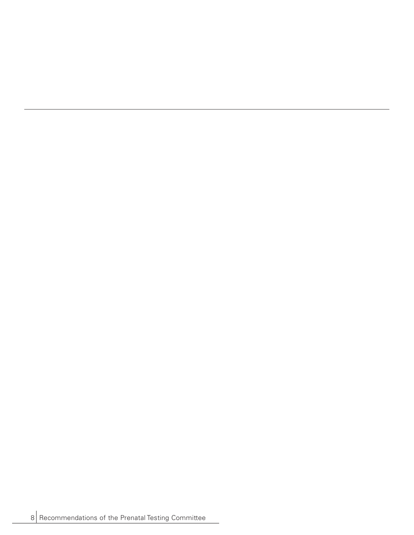8 Recommendations of the Prenatal Testing Committee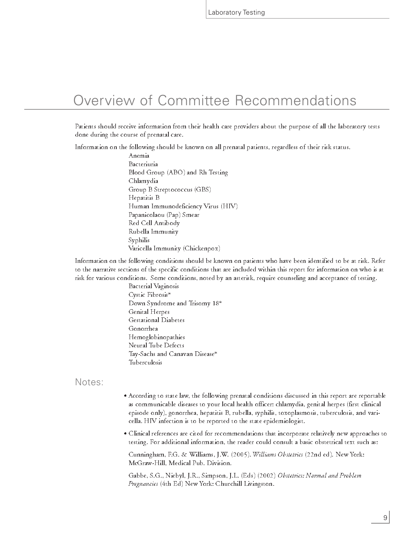### Overview of Committee Recommendations

Patients should receive information from their health care providers about the purpose of all the laboratory tests done during the course of prenatal care.

Information on the following should be known on all prenatal patients, regardless of their risk status.

Anemia Bacteriuria Blood Group (ABO) and Rh Testing Chlamydia Group B Streptococcus (GBS) Hepatitis B Human Immunodeficiency Virus (HIV) Papanicolaou (Pap) Smear Red Cell Antibody Rubella Immunity Syphilis Varicella Immunity (Chickenpox)

Information on the following conditions should be known on patients who have been identified to be at risk. Refer to the narrative sections of the specific conditions that are included within this report for information on who is at risk for various conditions. Some conditions, noted by an asterisk, require counseling and acceptance of testing.

> Bacterial Vaginosis Cystic Fibrosis\* Down Syndrome and Trisomy 18\* Genital Herpes Gestational Diabetes Gonorrhea Hemoglobinopathies Neural Tube Defects Tay-Sachs and Canavan Disease\* Tuberculosis

Notes:

- According to state law, the following prenatal conditions discussed in this report are reportable as communicable diseases to your local health officer: chlamydia, genital herpes (first clinical episode only), gonorrhea, hepatitis B, rubella, syphilis, toxoplasmosis, tuberculosis, and varicella. HIV infection is to be reported to the state epidemiologist.
- Clinical references are cited for recommendations that incorporate relatively new approaches to testing. For additional information, the reader could consult a basic obstetrical text such as:

Cunningham, F.G. & Williams, J.W. (2005). Williams Obstetrics (22nd ed). New York: McGraw-Hill, Medical Pub. Division.

Gabbe, S.G., Niebyl, J.R., Simpson, J.L. (Eds) (2002) Obstetrics: Normal and Problem Pregnancies (4th Ed) New York: Churchill Livingston.

9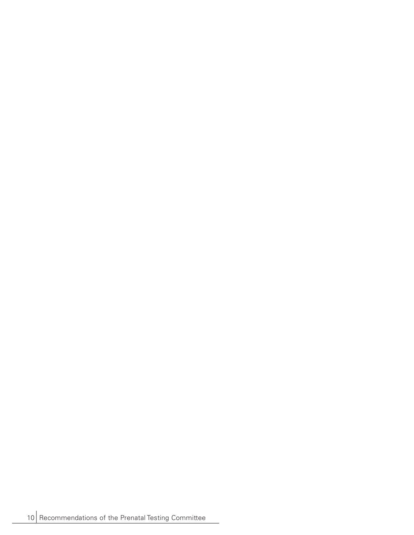10 Recommendations of the Prenatal Testing Committee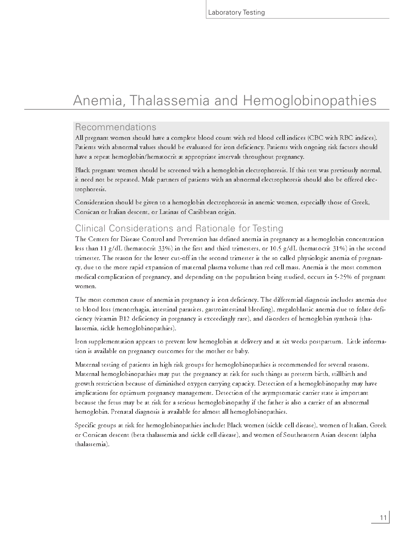# Anemia, Thalassemia and Hemoglobinopathies

#### Recommendations

All pregnant women should have a complete blood count with red blood cell indices (CBC with RBC indices). Patients with abnormal values should be evaluated for iron deficiency. Patients with ongoing risk factors should have a repeat hemoglobin/hematocrit at appropriate intervals throughout pregnancy.

Black pregnant women should be screened with a hemoglobin electrophoresis. If this test was previously normal, it need not be repeated. Male partners of patients with an abnormal electrophoresis should also be offered electrophoresis.

Consideration should be given to a hemoglobin electrophoresis in anemic women, especially those of Greek, Corsican or Italian descent, or Latinas of Caribbean origin.

### Clinical Considerations and Rationale for Testing

The Centers for Disease Control and Prevention has defined anemia in pregnancy as a hemoglobin concentration less than 11 g/dL (hematocrit 33%) in the first and third trimesters, or 10.5 g/dL (hematocrit 31%) in the second trimester. The reason for the lower cut-off in the second trimester is the so called physiologic anemia of pregnancy, due to the more rapid expansion of maternal plasma volume than red cell mass. Anemia is the most common medical complication of pregnancy, and depending on the population being studied, occurs in 5-25% of pregnant women.

The most common cause of anemia in pregnancy is iron deficiency. The differential diagnosis includes anemia due to blood loss (menorrhagia, intestinal parasites, gastrointestinal bleeding), megaloblastic anemia due to folate deficiency (vitamin B12 deficiency in pregnancy is exceedingly rare), and disorders of hemoglobin synthesis (thalassemia, sickle hemoglobinopathies).

Iron supplementation appears to prevent low hemoglobin at delivery and at six weeks postpartum. Little information is available on pregnancy outcomes for the mother or baby.

Maternal testing of patients in high risk groups for hemoglobinopathies is recommended for several reasons. Maternal hemoglobinopathies may put the pregnancy at risk for such things as preterm birth, stillbirth and growth restriction because of diminished oxygen carrying capacity. Detection of a hemoglobinopathy may have implications for optimum pregnancy management. Detection of the asymptomatic carrier state is important because the fetus may be at risk for a serious hemoglobinopathy if the father is also a carrier of an abnormal hemoglobin. Prenatal diagnosis is available for almost all hemoglobinopathies.

Specific groups at risk for hemoglobinopathies include: Black women (sickle cell disease), women of Italian, Greek or Corsican descent (beta thalassemia and sickle cell disease), and women of Southeastern Asian descent (alpha thalassemia).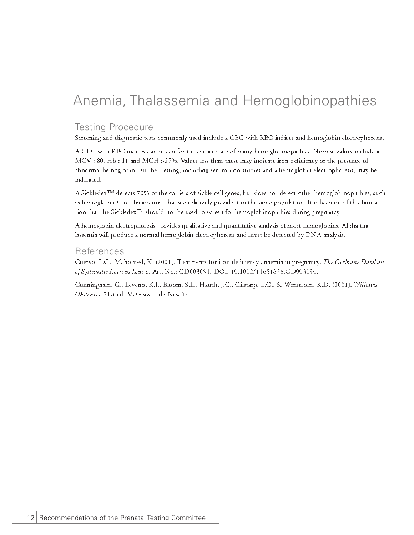# Anemia, Thalassemia and Hemoglobinopathies

### Testing Procedure

Screening and diagnostic tests commonly used include a CBC with RBC indices and hemoglobin electrophoresis.

A CBC with RBC indices can screen for the carrier state of many hemoglobinopathies. Normal values include an MCV >80, Hb >11 and MCH >27%. Values less than these may indicate iron deficiency or the presence of abnormal hemoglobin. Further testing, including serum iron studies and a hemoglobin electrophoresis, may be indicated.

A Sickledex™ detects 70% of the carriers of sickle cell genes, but does not detect other hemoglobinopathies, such as hemoglobin C or thalassemia, that are relatively prevalent in the same population. It is because of this limitation that the Sickledex™ should not be used to screen for hemoglobinopathies during pregnancy.

A hemoglobin electrophoresis provides qualitative and quantitative analysis of most hemoglobins. Alpha thalassemia will produce a normal hemoglobin electrophoresis and must be detected by DNA analysis.

#### References

Cuervo, L.G., Mahomed, K. (2001). Treatments for iron deficiency anaemia in pregnancy. The Cochrane Database of Systematic Reviews Issue 2. Art. No.: CD003094. DOI: 10.1002/14651858.CD003094.

Cunningham, G., Leveno, K.J., Bloom, S.L., Hauth, J.C., Gilstarp, L.C., & Wenstrom, K.D. (2001). Williams Obstetrics, 21st ed. McGraw-Hill: New York.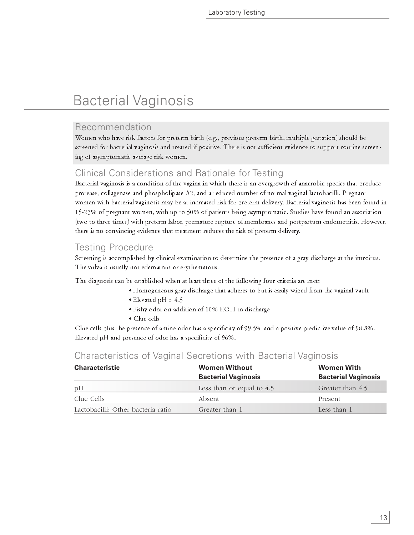# Bacterial Vaginosis

### Recommendation

Women who have risk factors for preterm birth (e.g., previous preterm birth, multiple gestation) should be screened for bacterial vaginosis and treated if positive. There is not sufficient evidence to support routine screening of asymptomatic average risk women.

### Clinical Considerations and Rationale for Testing

Bacterial vaginosis is a condition of the vagina in which there is an overgrowth of anaerobic species that produce protease, collagenase and phospholipase A2, and a reduced number of normal vaginal lactobacilli. Pregnant women with bacterial vaginosis may be at increased risk for preterm delivery. Bacterial vaginosis has been found in 15-23% of pregnant women, with up to 50% of patients being asymptomatic. Studies have found an association (two to three times) with preterm labor, premature rupture of membranes and postpartum endometritis. However, there is no convincing evidence that treatment reduces the risk of preterm delivery.

### Testing Procedure

Screening is accomplished by clinical examination to determine the presence of a gray discharge at the introitus. The vulva is usually not edematous or erythematous.

The diagnosis can be established when at least three of the following four criteria are met:

- Homogeneous gray discharge that adheres to but is easily wiped from the vaginal vault
- Elevated  $pH > 4.5$
- Fishy odor on addition of 10% KOH to discharge
- Clue cells

Clue cells plus the presence of amine odor has a specificity of 99.5% and a positive predictive value of 98.8%. Elevated pH and presence of odor has a specificity of 96%.

| <b>Characteristic</b>              | <b>Women Without</b>        | <b>Women With</b>          |  |
|------------------------------------|-----------------------------|----------------------------|--|
|                                    | <b>Bacterial Vaginosis</b>  | <b>Bacterial Vaginosis</b> |  |
| рH                                 | Less than or equal to $4.5$ | Greater than 4.5           |  |
| Clue Cells                         | Absent                      | Present                    |  |
| Lactobacilli: Other bacteria ratio | Greater than 1              | Less than 1                |  |

### Characteristics of Vaginal Secretions with Bacterial Vaginosis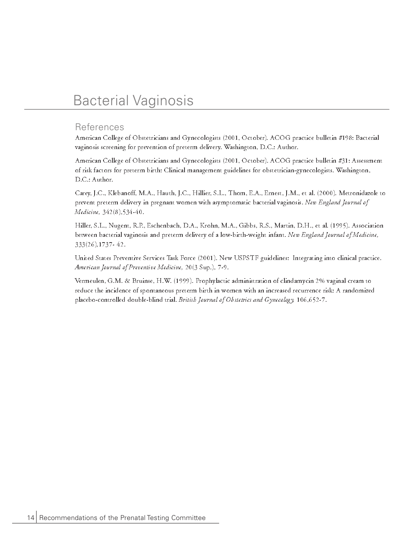### Bacterial Vaginosis

### References

American College of Obstetricians and Gynecologists (2001, October). ACOG practice bulletin #198: Bacterial vaginosis screening for prevention of preterm delivery. Washington, D.C.: Author.

American College of Obstetricians and Gynecologists (2001, October). ACOG practice bulletin #31: Assessment of risk factors for preterm birth: Clinical management guidelines for obstetrician-gynecologists. Washington, D.C.: Author.

Carey, J.C., Klebanoff, M.A., Hauth, J.C., Hillier, S.L., Thom, E.A., Ernest, J.M., et al. (2000). Metronidazole to prevent preterm delivery in pregnant women with asymptomatic bacterial vaginosis. New England Journal of Medicine, 342(8),534-40.

Hiller, S.L., Nugent, R.P., Eschenbach, D.A., Krohn, M.A., Gibbs, R.S., Martin, D.H., et al. (1995). Association between bacterial vaginosis and preterm delivery of a low-birth-weight infant. New England Journal of Medicine, 333(26),1737- 42.

United States Preventive Services Task Force (2001). New USPSTF guidelines: Integrating into clinical practice. American Journal of Preventive Medicine, 20(3 Sup.), 7-9.

Vermeulen, G.M. & Bruinse, H.W. (1999). Prophylactic administration of clindamycin 2% vaginal cream to reduce the incidence of spontaneous preterm birth in women with an increased recurrence risk: A randomized placebo-controlled double-blind trial. British Journal of Obstetrics and Gynecology, 106,652-7.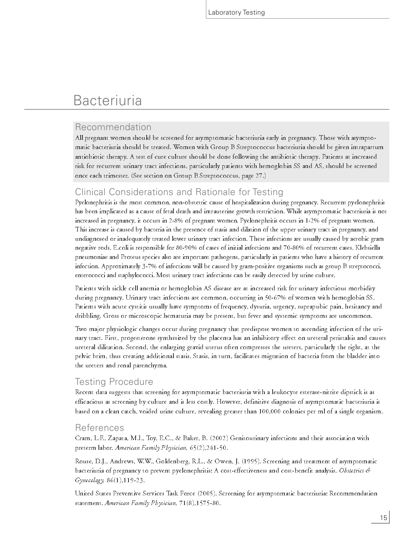### **Bacteriuria**

### Recommendation

All pregnant women should be screened for asymptomatic bacteriuria early in pregnancy. Those with asymptomatic bacteriuria should be treated. Women with Group B Streptococcus bacteriuria should be given intrapartum antiobiotic therapy. A test of cure culture should be done following the antibiotic therapy. Patients at increased risk for recurrent urinary tract infections, particularly patients with hemoglobin SS and AS, should be screened once each trimester. (See section on Group B Streptococcus, page 27.)

### Clinical Considerations and Rationale for Testing

Pyelonephritis is the most common, non-obstetric cause of hospitalization during pregnancy. Recurrent pyelonephritis has been implicated as a cause of fetal death and intrauterine growth restriction. While asymptomatic bacteriuria is not increased in pregnancy, it occurs in 2-8% of pregnant women. Pyelonephritis occurs in 1-2% of pregnant women. This increase is caused by bacteria in the presence of stasis and dilation of the upper urinary tract in pregnancy, and undiagnosed or inadequately treated lower urinary tract infection. These infections are usually caused by aerobic gram negative rods. E.coli is responsible for 80-90% of cases of initial infections and 70-80% of recurrent cases. Klebsiella pneumoniae and Proteus species also are important pathogens, particularly in patients who have a history of recurrent infection. Approximately 3-7% of infections will be caused by gram-positive organisms such as group B streptococci, enterococci and staphylococci. Most urinary tract infections can be easily detected by urine culture.

Patients with sickle cell anemia or hemoglobin AS disease are at increased risk for urinary infectious morbidity during pregnancy. Urinary tract infections are common, occurring in 50-67% of women with hemoglobin SS. Patients with acute cystitis usually have symptoms of frequency, dysuria, urgency, suprapubic pain, hesitancy and dribbling. Gross or microscopic hematuria may be present, but fever and systemic symptoms are uncommon.

Two major physiologic changes occur during pregnancy that predispose women to ascending infection of the urinary tract. First, progesterone synthesized by the placenta has an inhibitory effect on ureteral peristalsis and causes ureteral dilitation. Second, the enlarging gravid uterus often compresses the ureters, particularly the right, at the pelvic brim, thus creating additional stasis. Stasis, in turn, facilitates migration of bacteria from the bladder into the ureters and renal parenchyma.

### Testing Procedure

Recent data suggests that screening for asymptomatic bacteriuria with a leukocyte esterase-nitrite dipstick is as efficacious as screening by culture and is less costly. However, definitive diagnosis of asymptomatic bacteriuria is based on a clean catch, voided urine culture, revealing greater than 100,000 colonies per ml of a single organism.

### References

Cram, L.F., Zapata, M.I., Toy, E.C., & Baker, B. (2002) Genitourinary infections and their association with preterm labor. American Family Physician, 65(2),241-50.

Rouse, D.J., Andrews, W.W., Goldenberg, R.L., & Owen, J. (1995). Screening and treatment of asymptomatic bacteriuria of pregnancy to prevent pyelonephritis: A cost-effectiveness and cost-benefit analysis. Obstetrics & Gynecology, 86(1),119-23.

United States Preventive Services Task Force (2005). Screening for asymptomatic bacteriuria: Recommendation statement. American Family Physician, 71(8),1575-80.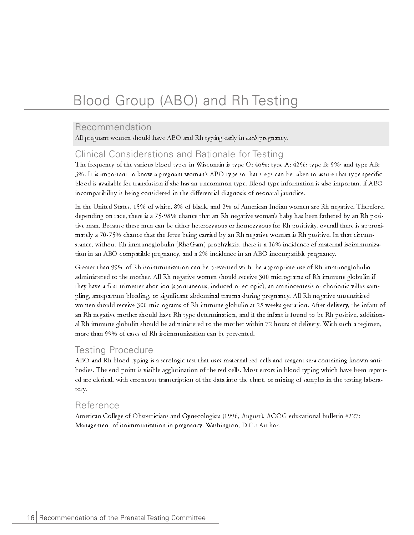# Blood Group (ABO) and Rh Testing

#### Recommendation

All pregnant women should have ABO and Rh typing early in each pregnancy.

### Clinical Considerations and Rationale for Testing

The frequency of the various blood types in Wisconsin is type O: 46%; type A: 42%; type B: 9%; and type AB: 3%. It is important to know a pregnant woman's ABO type so that steps can be taken to assure that type specific blood is available for transfusion if she has an uncommon type. Blood type information is also important if ABO incompatibility is being considered in the differential diagnosis of neonatal jaundice.

In the United States, 15% of white, 8% of black, and 2% of American Indian women are Rh negative. Therefore, depending on race, there is a 75-98% chance that an Rh negative woman's baby has been fathered by an Rh positive man. Because these men can be either heterozygous or homozygous for Rh positivity, overall there is approximately a 70-75% chance that the fetus being carried by an Rh negative woman is Rh positive. In that circumstance, without Rh immunoglobulin (RhoGam) prophylaxis, there is a 16% incidence of maternal isoimmunization in an ABO compatible pregnancy, and a 2% incidence in an ABO incompatible pregnancy.

Greater than 99% of Rh isoimmunization can be prevented with the appropriate use of Rh immunoglobulin administered to the mother. All Rh negative women should receive 300 micrograms of Rh immune globulin if they have a first trimester abortion (spontaneous, induced or ectopic), an amniocentesis or chorionic villus sampling, antepartum bleeding, or significant abdominal trauma during pregnancy. All Rh negative unsensitized women should receive 300 micrograms of Rh immune globulin at 28 weeks gestation. After delivery, the infant of an Rh negative mother should have Rh type determination, and if the infant is found to be Rh positive, additional Rh immune globulin should be administered to the mother within 72 hours of delivery. With such a regimen, more than 99% of cases of Rh isoimmunization can be prevented.

### Testing Procedure

ABO and Rh blood typing is a serologic test that uses maternal red cells and reagent sera containing known antibodies. The end point is visible agglutination of the red cells. Most errors in blood typing which have been reported are clerical, with erroneous transcription of the data into the chart, or mixing of samples in the testing laboratory.

### Reference

American College of Obstetricians and Gynecologists (1996, August). ACOG educational bulletin #227: Management of isoimmunization in pregnancy. Washington, D.C.: Author.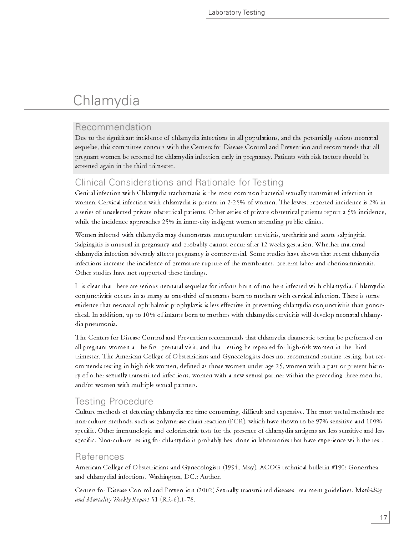### Chlamydia

### Recommendation

Due to the significant incidence of chlamydia infections in all populations, and the potentially serious neonatal sequelae, this committee concurs with the Centers for Disease Control and Prevention and recommends that all pregnant women be screened for chlamydia infection early in pregnancy. Patients with risk factors should be screened again in the third trimester.

### Clinical Considerations and Rationale for Testing

Genital infection with Chlamydia trachomatis is the most common bacterial sexually transmitted infection in women. Cervical infection with chlamydia is present in 2-25% of women. The lowest reported incidence is 2% in a series of unselected private obstetrical patients. Other series of private obstetrical patients report a 5% incidence, while the incidence approaches 25% in inner-city indigent women attending public clinics.

Women infected with chlamydia may demonstrate mucopurulent cervicitis, urethritis and acute salpingitis. Salpingitis is unusual in pregnancy and probably cannot occur after 12 weeks gestation. Whether maternal chlamydia infection adversely affects pregnancy is controversial. Some studies have shown that recent chlamydia infections increase the incidence of premature rupture of the membranes, preterm labor and chorioamnionitis. Other studies have not supported these findings.

It is clear that there are serious neonatal sequelae for infants born of mothers infected with chlamydia. Chlamydia conjunctivitis occurs in as many as one-third of neonates born to mothers with cervical infection. There is some evidence that neonatal ophthalmic prophylaxis is less effective in preventing chlamydia conjunctivitis than gonorrheal. In addition, up to 10% of infants born to mothers with chlamydia cervicitis will develop neonatal chlamydia pneumonia.

The Centers for Disease Control and Prevention recommends that chlamydia diagnostic testing be performed on all pregnant women at the first prenatal visit, and that testing be repeated for high-risk women in the third trimester. The American College of Obstetricians and Gynecologists does not recommend routine testing, but recommends testing in high risk women, defined as those women under age 25, women with a past or present history of other sexually transmitted infections, women with a new sexual partner within the preceding three months, and/or women with multiple sexual partners.

### Testing Procedure

Culture methods of detecting chlamydia are time consuming, difficult and expensive. The most useful methods are non-culture methods, such as polymerase chain reaction (PCR), which have shown to be 97% sensitive and 100% specific. Other immunologic and colorimetric tests for the presence of chlamydia antigens are less sensitive and less specific. Non-culture testing for chlamydia is probably best done in laboratories that have experience with the test.

### References

American College of Obstetricians and Gynecologists (1994, May). ACOG technical bulletin #190: Gonorrhea and chlamydial infections. Washington, DC.: Author.

Centers for Disease Control and Prevention (2002) Sexually transmitted diseases treatment guidelines. Morbidity and Mortality Weekly Report 51 (RR-6),1-78.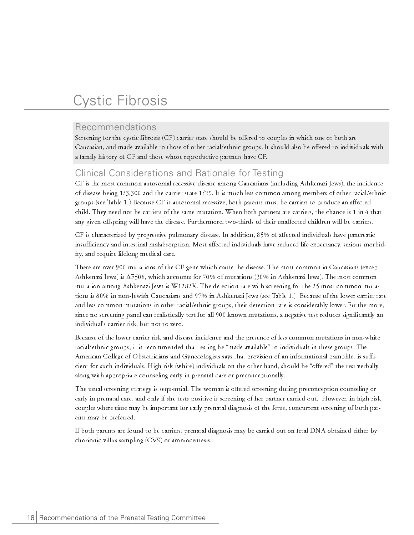# Cystic Fibrosis

### Recommendations

Screening for the cystic fibrosis (CF) carrier state should be offered to couples in which one or both are Caucasian, and made available to those of other racial/ethnic groups. It should also be offered to individuals with a family history of CF and those whose reproductive partners have CF.

### Clinical Considerations and Rationale for Testing

CF is the most common autosomal recessive disease among Caucasians (including Ashkenazi Jews), the incidence of disease being 1/3,300 and the carrier state 1/29. It is much less common among members of other racial/ethnic groups (see Table 1.) Because CF is autosomal recessive, both parents must be carriers to produce an affected child. They need not be carriers of the same mutation. When both partners are carriers, the chance is 1 in 4 that any given offspring will have the disease. Furthermore, two-thirds of their unaffected children will be carriers.

CF is characterized by progressive pulmonary disease. In addition, 85% of affected individuals have pancreatic insufficiency and intestinal malabsorption. Most affected individuals have reduced life expectancy, serious morbidity, and require lifelong medical care.

There are over 900 mutations of the CF gene which cause the disease. The most common in Caucasians (except Ashkenazi Jews) is ΔF508, which accounts for 70% of mutations (30% in Ashkenazi Jews). The most common mutation among Ashkenazi Jews is W1282X. The detection rate with screening for the 25 most common mutations is 80% in non-Jewish Caucasians and 97% in Ashkenazi Jews (see Table 1.) Because of the lower carrier rate and less common mutations in other racial/ethnic groups, their detection rate is considerably lower. Furthermore, since no screening panel can realistically test for all 900 known mutations, a negative test reduces significantly an individual's carrier risk, but not to zero.

Because of the lower carrier risk and disease incidence and the presence of less common mutations in non-white racial/ethnic groups, it is recommended that testing be "made available" to individuals in these groups. The American College of Obstetricians and Gynecologists says that provision of an informational pamphlet is sufficient for such individuals. High risk (white) individuals on the other hand, should be "offered" the test verbally along with appropriate counseling early in prenatal care or preconceptionally.

The usual screening strategy is sequential. The woman is offered screening during preconception counseling or early in prenatal care, and only if she tests positive is screening of her partner carried out. However, in high risk couples where time may be important for early prenatal diagnosis of the fetus, concurrent screening of both parents may be preferred.

If both parents are found to be carriers, prenatal diagnosis may be carried out on fetal DNA obtained either by chorionic villus sampling (CVS) or amniocentesis.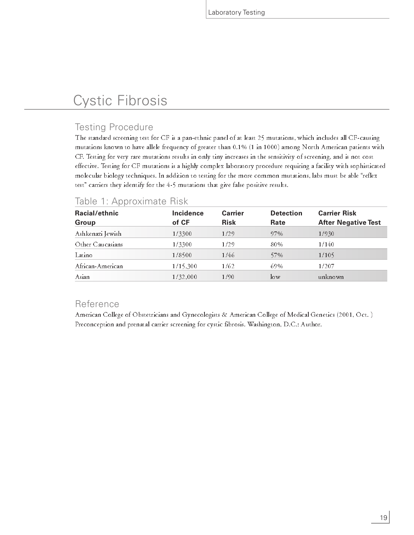# Cystic Fibrosis

### Testing Procedure

The standard screening test for CF is a pan-ethnic panel of at least 25 mutations, which includes all CF-causing mutations known to have allele frequency of greater than 0.1% (1 in 1000) among North American patients with CF. Testing for very rare mutations results in only tiny increases in the sensitivity of screening, and is not cost effective. Testing for CF mutations is a highly complex laboratory procedure requiring a facility with sophisticated molecular biology techniques. In addition to testing for the more common mutations, labs must be able "reflex test" carriers they identify for the 4-5 mutations that give false positive results.

| Racial/ethnic    | <b>Incidence</b> | <b>Carrier</b> | <b>Detection</b> | <b>Carrier Risk</b>        |
|------------------|------------------|----------------|------------------|----------------------------|
| <b>Group</b>     | of CF            | <b>Risk</b>    | Rate             | <b>After Negative Test</b> |
| Ashkenazi Jewish | 1/3300           | 1/29           | 97%              | 1/930                      |
| Other Caucasians | 1/3300           | 1/29           | 80%              | 1/140                      |
| Latino           | 1/8500           | 1/46           | 57%              | 1/105                      |
| African American | 1/15,300         | 1/62           | 69%              | 1/207                      |
| Asian            | 1/32,000         | 1/90           | low              | unknown                    |

### Table 1: Approximate Risk

#### Reference

American College of Obstetricians and Gynecologists & American College of Medical Genetics (2001, Oct. ) Preconception and prenatal carrier screening for cystic fibrosis. Washington, D.C.: Author.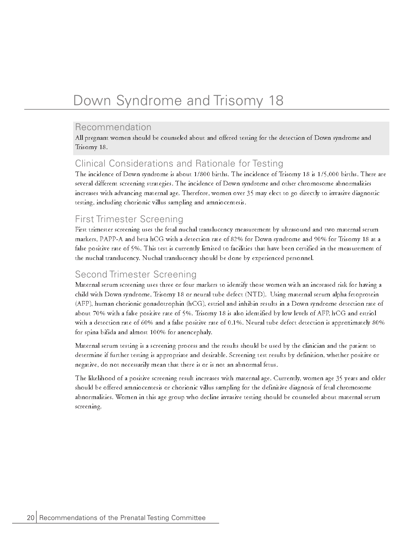# Down Syndrome and Trisomy 18

### Recommendation

All pregnant women should be counseled about and offered testing for the detection of Down syndrome and Trisomy 18.

### Clinical Considerations and Rationale for Testing

The incidence of Down syndrome is about 1/800 births. The incidence of Trisomy 18 is 1/5,000 births. There are several different screening strategies. The incidence of Down syndrome and other chromosome abnormalities increases with advancing maternal age. Therefore, women over 35 may elect to go directly to invasive diagnostic testing, including chorionic villus sampling and amniocentesis.

### First Trimester Screening

First trimester screening uses the fetal nuchal translucency measurement by ultrasound and two maternal serum markers, PAPP-A and beta hCG with a detection rate of 82% for Down syndrome and 90% for Trisomy 18 at a false positive rate of 5%. This test is currently limited to facilities that have been certified in the measurement of the nuchal translucency. Nuchal translucency should be done by experienced personnel.

### Second Trimester Screening

Maternal serum screening uses three or four markers to identify those women with an increased risk for having a child with Down syndrome, Trisomy 18 or neural tube defect (NTD). Using maternal serum alpha fetoprotein (AFP), human chorionic gonadotrophin (hCG), estriol and inhibin results in a Down syndrome detection rate of about 70% with a false positive rate of 5%. Trisomy 18 is also identified by low levels of AFP, hCG and estriol with a detection rate of 60% and a false positive rate of 0.1%. Neural tube defect detection is approximately 80% for spina bifida and almost 100% for anencephaly.

Maternal serum testing is a screening process and the results should be used by the clinician and the patient to determine if further testing is appropriate and desirable. Screening test results by definition, whether positive or negative, do not necessarily mean that there is or is not an abnormal fetus.

The likelihood of a positive screening result increases with maternal age. Currently, women age 35 years and older should be offered amniocentesis or chorionic villus sampling for the definitive diagnosis of fetal chromosome abnormalities. Women in this age group who decline invasive testing should be counseled about maternal serum screening.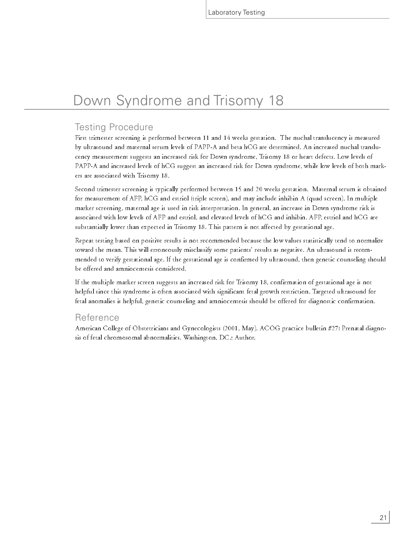# Down Syndrome and Trisomy 18

### Testing Procedure

First trimester screening is performed between 11 and 14 weeks gestation. The nuchal translucency is measured by ultrasound and maternal serum levels of PAPP-A and beta hCG are determined. An increased nuchal translucency measurement suggests an increased risk for Down syndrome, Trisomy 18 or heart defects. Low levels of PAPP-A and increased levels of hCG suggest an increased risk for Down syndrome, while low levels of both markers are associated with Trisomy 18.

Second trimester screening is typically performed between 15 and 20 weeks gestation. Maternal serum is obtained for measurement of AFP, hCG and estriol (triple screen), and may include inhibin A (quad screen). In multiple marker screening, maternal age is used in risk interpretation. In general, an increase in Down syndrome risk is associated with low levels of AFP and estriol, and elevated levels of hCG and inhibin. AFP, estriol and hCG are substantially lower than expected in Trisomy 18. This pattern is not affected by gestational age.

Repeat testing based on positive results is not recommended because the low values statistically tend to normalize toward the mean. This will erroneously misclassify some patients' results as negative. An ultrasound is recommended to verify gestational age. If the gestational age is confirmed by ultrasound, then genetic counseling should be offered and amniocentesis considered.

If the multiple marker screen suggests an increased risk for Trisomy 18, confirmation of gestational age is not helpful since this syndrome is often associated with significant fetal growth restriction. Targeted ultrasound for fetal anomalies is helpful, genetic counseling and amniocentesis should be offered for diagnostic confirmation.

### Reference

American College of Obstetricians and Gynecologists (2001, May). ACOG practice bulletin #27: Prenatal diagnosis of fetal chromosomal abnormalities. Washington, DC.: Author.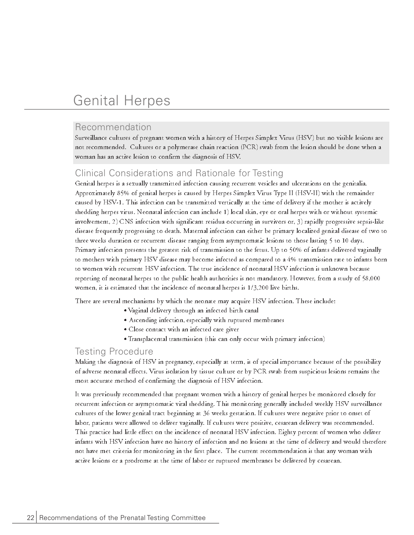# Genital Herpes

### Recommendation

Surveillance cultures of pregnant women with a history of Herpes Simplex Virus (HSV) but no visible lesions are not recommended. Cultures or a polymerase chain reaction (PCR) swab from the lesion should be done when a woman has an active lesion to confirm the diagnosis of HSV.

### Clinical Considerations and Rationale for Testing

Genital herpes is a sexually transmitted infection causing recurrent vesicles and ulcerations on the genitalia. Approximately 85% of genital herpes is caused by Herpes Simplex Virus Type II (HSV-II) with the remainder caused by HSV-1. This infection can be transmitted vertically at the time of delivery if the mother is actively shedding herpes virus. Neonatal infection can include 1) local skin, eye or oral herpes with or without systemic involvement, 2) CNS infection with significant residua occurring in survivors or, 3) rapidly progressive sepsis-like disease frequently progressing to death. Maternal infection can either be primary localized genital disease of two to three weeks duration or recurrent disease ranging from asymptomatic lesions to those lasting 5 to 10 days. Primary infection presents the greatest risk of transmission to the fetus. Up to 50% of infants delivered vaginally to mothers with primary HSV disease may become infected as compared to a 4% transmission rate to infants born to women with recurrent HSV infection. The true incidence of neonatal HSV infection is unknown because reporting of neonatal herpes to the public health authorities is not mandatory. However, from a study of 58,000 women, it is estimated that the incidence of neonatal herpes is 1/3,200 live births.

There are several mechanisms by which the neonate may acquire HSV infection. These include:

- Vaginal delivery through an infected birth canal
- Ascending infection, especially with ruptured membranes
- Close contact with an infected care giver
- Transplacental transmission (this can only occur with primary infection)

### Testing Procedure

Making the diagnosis of HSV in pregnancy, especially at term, is of special importance because of the possibility of adverse neonatal effects. Virus isolation by tissue culture or by PCR swab from suspicious lesions remains the most accurate method of confirming the diagnosis of HSV infection.

It was previously recommended that pregnant women with a history of genital herpes be monitored closely for recurrent infection or asymptomatic viral shedding. This monitoring generally included weekly HSV surveillance cultures of the lower genital tract beginning at 36 weeks gestation. If cultures were negative prior to onset of labor, patients were allowed to deliver vaginally. If cultures were positive, cesarean delivery was recommended. This practice had little effect on the incidence of neonatal HSV infection. Eighty percent of women who deliver infants with HSV infection have no history of infection and no lesions at the time of delivery and would therefore not have met criteria for monitoring in the first place. The current recommendation is that any woman with active lesions or a prodrome at the time of labor or ruptured membranes be delivered by cesarean.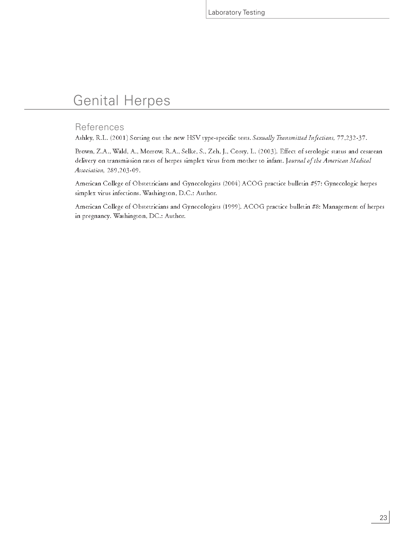### Genital Herpes

### References

Ashley, R.L. (2001) Sorting out the new HSV type-specific tests. Sexually Transmitted Infections, 77,232-37.

Brown, Z.A., Wald, A., Morrow, R.A., Selke, S., Zeh, J., Corey, L. (2003). Effect of serologic status and cesarean delivery on transmission rates of herpes simplex virus from mother to infant. Journal of the American Medical Association, 289,203-09.

American College of Obstetricians and Gynecologists (2004) ACOG practice bulletin #57: Gynecologic herpes simplex virus infections. Washington, D.C.: Author.

American College of Obstetricians and Gynecologists (1999). ACOG practice bulletin #8: Management of herpes in pregnancy. Washington, DC.: Author.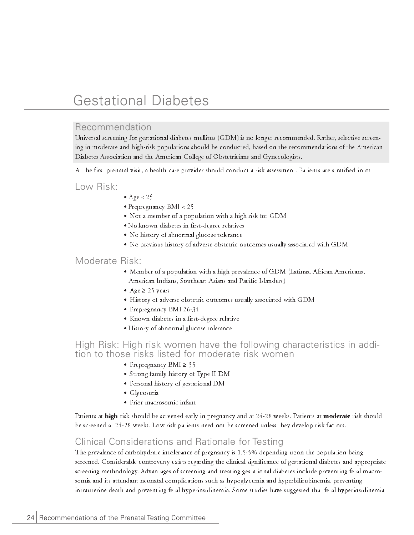# Gestational Diabetes

### Recommendation

Universal screening for gestational diabetes mellitus (GDM) is no longer recommended. Rather, selective screening in moderate and high-risk populations should be conducted, based on the recommendations of the American Diabetes Association and the American College of Obstetricians and Gynecologists.

At the first prenatal visit, a health care provider should conduct a risk assessment. Patients are stratified into:

#### Low Risk:

- $•$  Age  $<$  25
- Prepregnancy BMI < 25
- Not a member of a population with a high risk for GDM
- No known diabetes in first-degree relatives
- No history of abnormal glucose tolerance
- No previous history of adverse obstetric outcomes usually associated with GDM

### Moderate Risk:

- Member of a population with a high prevalence of GDM (Latinas, African Americans, American Indians, Southeast Asians and Pacific Islanders)
- Age  $\geq 25$  years
- History of adverse obstetric outcomes usually associated with GDM
- Prepregnancy BMI 26-34
- Known diabetes in a first-degree relative
- History of abnormal glucose tolerance

High Risk: High risk women have the following characteristics in addition to those risks listed for moderate risk women

- Prepregnancy BMI ≥ 35
- Strong family history of Type II DM
- Personal history of gestational DM
- Glycosuria
- Prior macrosomic infant

Patients at high risk should be screened early in pregnancy and at 24-28 weeks. Patients at moderate risk should be screened at 24-28 weeks. Low risk patients need not be screened unless they develop risk factors.

### Clinical Considerations and Rationale for Testing

The prevalence of carbohydrate intolerance of pregnancy is 1.5-5% depending upon the population being screened. Considerable controversy exists regarding the clinical significance of gestational diabetes and appropriate screening methodology. Advantages of screening and treating gestational diabetes include preventing fetal macrosomia and its attendant neonatal complications such as hypoglycemia and hyperbilirubinemia, preventing intrauterine death and preventing fetal hyperinsulinemia. Some studies have suggested that fetal hyperinsulinemia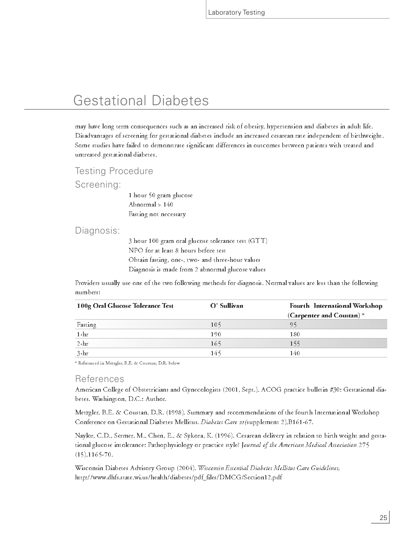### Gestational Diabetes

may have long term consequences such as an increased risk of obesity, hypertension and diabetes in adult life. Disadvantages of screening for gestational diabetes include an increased cesarean rate independent of birthweight. Some studies have failed to demonstrate significant differences in outcomes between patients with treated and untreated gestational diabetes.

### Testing Procedure

#### Screening:

1 hour 50 gram glucose Abnormal > 140 Fasting not necessary

#### Diagnosis:

3 hour 100 gram oral glucose tolerance test (GTT) NPO for at least 8 hours before test Obtain fasting, one-, two- and three-hour values Diagnosis is made from 2 abnormal glucose values

Providers usually use one of the two following methods for diagnosis. Normal values are less than the following numbers:

| 100g Oral Glucose Tolerance Test                    | O' Sullivan | Fourth International Workshop |  |  |
|-----------------------------------------------------|-------------|-------------------------------|--|--|
|                                                     |             | (Carpenter and Coustan) $*$   |  |  |
|                                                     | 105         | 95                            |  |  |
| $\frac{Fasting}{1-hr}$                              | 190         | 180                           |  |  |
| $\frac{2\text{-}\mathrm{hr}}{3\text{-}\mathrm{hr}}$ | 165         | 155                           |  |  |
|                                                     | 145         | 140                           |  |  |

\* Referenced in Metzgler, B.E. & Coustan, D.R. below

#### References

American College of Obstetricians and Gynecologists (2001, Sept.). ACOG practice bulletin #30: Gestational diabetes. Washington, D.C.: Author.

Metzgler, B.E. & Coustan, D.R. (1998). Summary and recommendations of the fourth International Workshop Conference on Gestational Diabetes Mellitus. Diabetes Care 21(supplement 2),B161-67.

Naylor, C.D., Sermer, M., Chen, E., & Sykora, K. (1996). Cesarean delivery in relation to birth weight and gestational glucose intolerance: Pathophysiology or practice style? Journal of the American Medical Association 275 (15),1165-70.

Wisconsin Diabetes Advisory Group (2004). Wisconsin Essential Diabetes Mellitus Care Guidelines, http://www.dhfs.state.wi.us/health/diabetes/pdf\_files/DMCG/Section12.pdf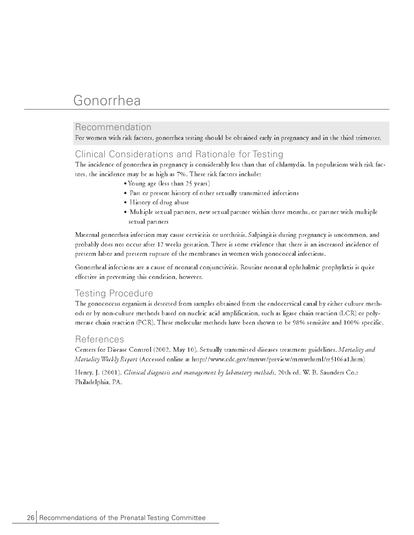### Gonorrhea

### Recommendation

For women with risk factors, gonorrhea testing should be obtained early in pregnancy and in the third trimester.

### Clinical Considerations and Rationale for Testing

The incidence of gonorrhea in pregnancy is considerably less than that of chlamydia. In populations with risk factors, the incidence may be as high as 7%. These risk factors include:

- Young age (less than 25 years)
- Past or present history of other sexually transmitted infections
- History of drug abuse
- Multiple sexual partners, new sexual partner within three months, or partner with multiple sexual partners

Maternal gonorrhea infection may cause cervicitis or urethritis. Salpingitis during pregnancy is uncommon, and probably does not occur after 12 weeks gestation. There is some evidence that there is an increased incidence of preterm labor and preterm rupture of the membranes in women with gonococcal infections.

Gonorrheal infections are a cause of neonatal conjunctivitis. Routine neonatal ophthalmic prophylaxis is quite effective in preventing this condition, however.

### Testing Procedure

The gonococcus organism is detected from samples obtained from the endocervical canal by either culture methods or by non-culture methods based on nucleic acid amplification, such as ligase chain reaction (LCR) or polymerase chain reaction (PCR). These molecular methods have been shown to be 98% sensitive and 100% specific.

### References

Centers for Disease Control (2002, May 10). Sexually transmitted diseases treatment guidelines. Mortality and Mortality Weekly Report (Accessed online at http://www.cdc.gov/mmwr/preview/mmwrhtml/rr5106a1.htm)

Henry, J. (2001). Clinical diagnosis and management by laboratory methods, 20th ed. W. B. Saunders Co.: Philadelphia, PA.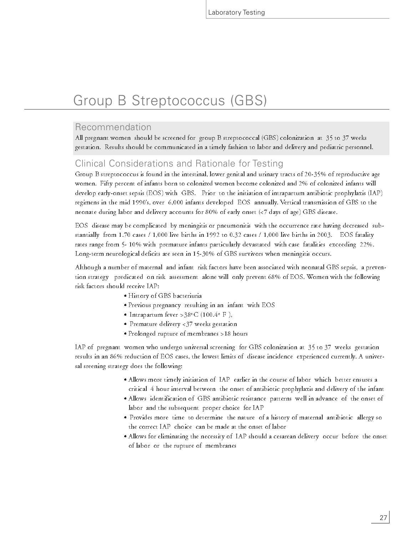### Group B Streptococcus (GBS)

#### Recommendation

All pregnant women should be screened for group B streptococcal (GBS) colonization at 35 to 37 weeks gestation. Results should be communicated in a timely fashion to labor and delivery and pediatric personnel.

### Clinical Considerations and Rationale for Testing

Group B streptococcus is found in the intestinal, lower genital and urinary tracts of 20-35% of reproductive age women. Fifty percent of infants born to colonized women become colonized and 2% of colonized infants will develop early-onset sepsis (EOS) with GBS. Prior to the initiation of intrapartum antibiotic prophylaxis (IAP) regimens in the mid 1990's, over 6,000 infants developed EOS annually. Vertical transmission of GBS to the neonate during labor and delivery accounts for 80% of early onset (<7 days of age) GBS disease.

EOS disease may be complicated by meningitis or pneumonitis with the occurrence rate having decreased substantially from 1.70 cases / 1,000 live births in 1992 to 0.32 cases / 1,000 live births in 2003. EOS fatality rates range from 5- 10% with premature infants particularly devastated with case fatalities exceeding 22%. Long-term neurological deficits are seen in 15-30% of GBS survivors when meningitis occurs.

Although a number of maternal and infant risk factors have been associated with neonatal GBS sepsis, a prevention strategy predicated on risk assessment alone will only prevent 68% of EOS. Women with the following risk factors should receive IAP:

- History of GBS bacteriuria
- Previous pregnancy resulting in an infant with EOS
- Intrapartum fever > 38 $\rm{^{\circ}C}$  (100.4 $\rm{^{\circ}F}$  ),
- Premature delivery <37 weeks gestation
- Prolonged rupture of membranes >18 hours

IAP of pregnant women who undergo universal screening for GBS colonization at 35 to 37 weeks gestation results in an 86% reduction of EOS cases, the lowest limits of disease incidence experienced currently. A universal sreening strategy does the following:

- Allows more timely initiation of IAP earlier in the course of labor which better ensures a critical 4 hour interval between the onset of antibiotic prophylaxis and delivery of the infant
- Allows identification of GBS antibiotic resistance patterns well in advance of the onset of labor and the subsequent proper choice for IAP
- Provides more time to determine the nature of a history of maternal antibiotic allergy so the correct IAP choice can be made at the onset of labor
- Allows for eliminating the necessity of IAP should a cesarean delivery occur before the onset of labor or the rupture of membranes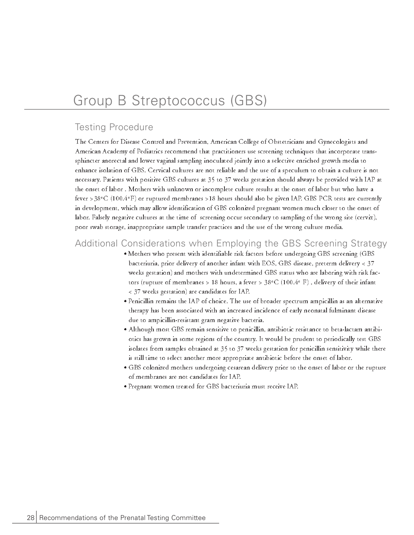### Group B Streptococcus (GBS)

### Testing Procedure

The Centers for Disease Control and Prevention, American College of Obstetricians and Gynecologists and American Academy of Pediatrics recommend that practitioners use screening techniques that incorporate transsphincter anorectal and lower vaginal sampling inoculated jointly into a selective enriched growth media to enhance isolation of GBS. Cervical cultures are not reliable and the use of a speculum to obtain a culture is not necessary. Patients with positive GBS cultures at 35 to 37 weeks gestation should always be provided with IAP at the onset of labor . Mothers with unknown or incomplete culture results at the onset of labor but who have a fever >38ºC (100.4ºF) or ruptured membranes >18 hours should also be given IAP. GBS PCR tests are currently in development, which may allow identification of GBS colonized pregnant women much closer to the onset of labor. Falsely negative cultures at the time of screening occur secondary to sampling of the wrong site (cervix), poor swab storage, inappropriate sample transfer practices and the use of the wrong culture media.

### Additional Considerations when Employing the GBS Screening Strategy

- •Mothers who present with identifiable risk factors before undergoing GBS screening (GBS bacteriuria, prior delivery of another infant with EOS, GBS disease, preterm delivery < 37 weeks gestation) and mothers with undetermined GBS status who are laboring with risk factors (rupture of membranes > 18 hours, a fever > 38ºC (100.4º F) , delivery of their infant < 37 weeks gestation) are candidates for IAP.
- Penicillin remains the IAP of choice. The use of broader spectrum ampicillin as an alternative therapy has been associated with an increased incidence of early neonatal fulminant disease due to ampicillin-resistant gram negative bacteria.
- Although most GBS remain sensitive to penicillin, antibiotic resistance to beta-lactam antibiotics has grown in some regions of the country. It would be prudent to periodically test GBS isolates from samples obtained at 35 to 37 weeks gestation for penicillin sensitivity while there is still time to select another more appropriate antibiotic before the onset of labor.
- GBS colonized mothers undergoing cesarean delivery prior to the onset of labor or the rupture of membranes are not candidates for IAP.
- Pregnant women treated for GBS bacteriuria must receive IAP.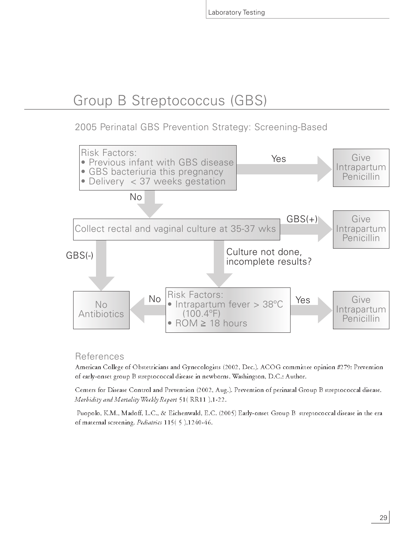# Group B Streptococcus (GBS)

### 2005 Perinatal GBS Prevention Strategy: Screening-Based



### References

American College of Obstetricians and Gynecologists (2002, Dec.). ACOG committee opinion #279: Prevention of early-onset group B streptococcal disease in newborns. Washington, D.C.: Author.

Centers for Disease Control and Prevention (2002, Aug.). Prevention of perinatal Group B streptococcal disease. Morbidity and Mortality Weekly Report 51( RR11 ),1-22.

Puopolo, K.M., Madoff, L.C., & Eichenwald, E.C. (2005) Early-onset Group B streptococcal disease in the era of maternal screening. Pediatrics 115( 5 ),1240-46.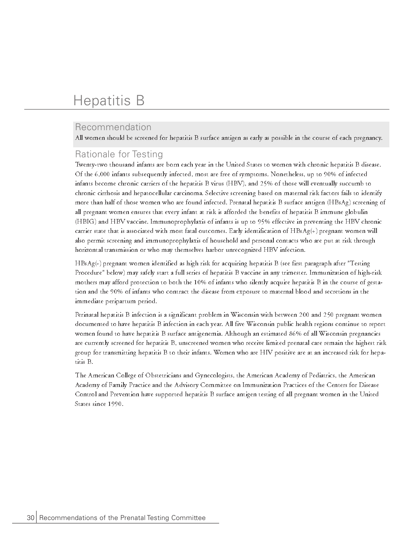### Hepatitis B

### Recommendation

All women should be screened for hepatitis B surface antigen as early as possible in the course of each pregnancy.

#### Rationale for Testing

Twenty-two thousand infants are born each year in the United States to women with chronic hepatitis B disease. Of the 6,000 infants subsequently infected, most are free of symptoms. Nonetheless, up to 90% of infected infants become chronic carriers of the hepatitis B virus (HBV), and 25% of those will eventually succumb to chronic cirrhosis and hepatocellular carcinoma. Selective screening based on maternal risk factors fails to identify more than half of those women who are found infected. Prenatal hepatitis B surface antigen (HBsAg) screening of all pregnant women ensures that every infant at risk is afforded the benefits of hepatitis B immune globulin (HBIG) and HBV vaccine. Immunoprophylaxis of infants is up to 95% effective in preventing the HBV chronic carrier state that is associated with most fatal outcomes. Early identification of HBsAg(+) pregnant women will also permit screening and immunoprophylaxis of household and personal contacts who are put at risk through horizontal transmission or who may themselves harbor unrecognized HBV infection.

HBsAg(-) pregnant women identified as high risk for acquiring hepatitis B (see first paragraph after "Testing Procedure" below) may safely start a full series of hepatitis B vaccine in any trimester. Immunization of high-risk mothers may afford protection to both the 10% of infants who silently acquire hepatitis B in the course of gestation and the 90% of infants who contract the disease from exposure to maternal blood and secretions in the immediate peripartum period.

Perinatal hepatitis B infection is a significant problem in Wisconsin with between 200 and 250 pregnant women documented to have hepatitis B infection in each year. All five Wisconsin public health regions continue to report women found to have hepatitis B surface antigenemia. Although an estimated 86% of all Wisconsin pregnancies are currently screened for hepatitis B, unscreened women who receive limited prenatal care remain the highest risk group for transmitting hepatitis B to their infants. Women who are HIV positive are at an increased risk for hepatitis B.

The American College of Obstetricians and Gynecologists, the American Academy of Pediatrics, the American Academy of Family Practice and the Advisory Committee on Immunization Practices of the Centers for Disease Control and Prevention have supported hepatitis B surface antigen testing of all pregnant women in the United States since 1990.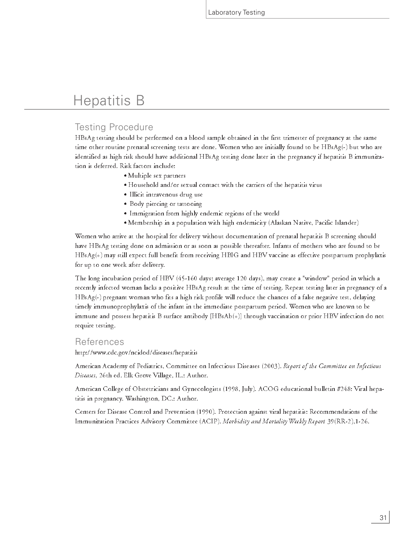### Hepatitis B

### Testing Procedure

HBsAg testing should be performed on a blood sample obtained in the first trimester of pregnancy at the same time other routine prenatal screening tests are done. Women who are initially found to be HBsAg(-) but who are identified as high risk should have additional HBsAg testing done later in the pregnancy if hepatitis B immunization is deferred. Risk factors include:

- •Multiple sex partners
- Household and/or sexual contact with the carriers of the hepatitis virus
- Illicit intravenous drug use
- Body piercing or tattooing
- Immigration from highly endemic regions of the world
- •Membership in a population with high endemicity (Alaskan Native, Pacific Islander)

Women who arrive at the hospital for delivery without documentation of prenatal hepatitis B screening should have HBsAg testing done on admission or as soon as possible thereafter. Infants of mothers who are found to be HBsAg(+) may still expect full benefit from receiving HBIG and HBV vaccine as effective postpartum prophylaxis for up to one week after delivery.

The long incubation period of HBV (45-160 days; average 120 days), may create a "window" period in which a recently infected woman lacks a positive HBsAg result at the time of testing. Repeat testing later in pregnancy of a HBsAg(-) pregnant woman who fits a high risk profile will reduce the chances of a false negative test, delaying timely immunoprophylaxis of the infant in the immediate postpartum period. Women who are known to be immune and possess hepatitis B surface antibody [HBsAb(+)] through vaccination or prior HBV infection do not require testing.

#### References

http://www.cdc.gov/ncidod/diseases/hepatitis

American Academy of Pediatrics, Committee on Infectious Diseases (2003). Report of the Committee on Infectious Diseases, 26th ed. Elk Grove Village, IL.: Author.

American College of Obstetricians and Gynecologists (1998, July). ACOG educational bulletin #248: Viral hepatitis in pregnancy. Washington, DC.: Author.

Centers for Disease Control and Prevention (1990). Protection against viral hepatitis: Recommendations of the Immunization Practices Advisory Committee (ACIP). Morbidity and Mortality Weekly Report 39(RR-2),1-26.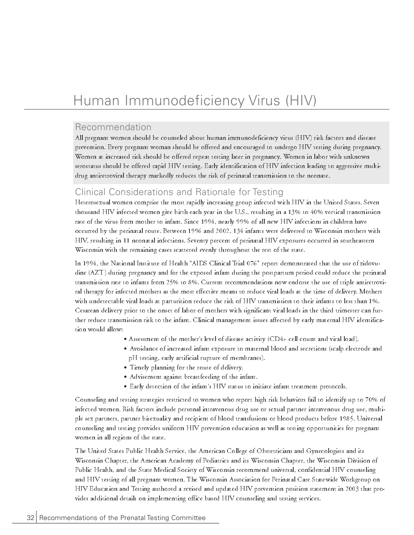# Human Immunodeficiency Virus (HIV)

#### Recommendation

All pregnant women should be counseled about human immunodeficiency virus (HIV) risk factors and disease prevention. Every pregnant woman should be offered and encouraged to undergo HIV testing during pregnancy. Women at increased risk should be offered repeat testing later in pregnancy. Women in labor with unknown serostatus should be offered rapid HIV testing. Early identification of HIV infection leading to aggressive multidrug antiretroviral therapy markedly reduces the risk of perinatal transmission to the neonate.

### Clinical Considerations and Rationale for Testing

Heterosexual women comprise the most rapidly increasing group infected with HIV in the United States. Seven thousand HIV infected women give birth each year in the U.S., resulting in a 13% to 40% vertical transmission rate of the virus from mother to infant. Since 1994, nearly 99% of all new HIV infections in children have occurred by the perinatal route. Between 1996 and 2002, 134 infants were delivered to Wisconsin mothers with HIV, resulting in 11 neonatal infections. Seventy percent of perinatal HIV exposures occurred in southeastern Wisconsin with the remaining cases scattered evenly throughout the rest of the state.

In 1994, the National Institute of Health "AIDS Clinical Trial 076" report demonstrated that the use of zidovudine (AZT) during pregnancy and for the exposed infant during the postpartum period could reduce the perinatal transmission rate to infants from 25% to 8%. Current recommendations now endorse the use of triple antiretroviral therapy for infected mothers as the most effective means to reduce viral loads at the time of delivery. Mothers with undetectable viral loads at parturition reduce the risk of HIV transmission to their infants to less than 1%. Cesarean delivery prior to the onset of labor of mothers with significant viral loads in the third trimester can further reduce transmission risk to the infant. Clinical management issues affected by early maternal HIV identification would allow:

- Assessment of the mother's level of disease activity (CD4+ cell count and viral load).
- Avoidance of increased infant exposure to maternal blood and secretions (scalp electrode and pH testing, early artificial rupture of membranes).
- Timely planning for the route of delivery.
- Advisement against breastfeeding of the infant.
- Early detection of the infant's HIV status to initiate infant treatment protocols.

Counseling and testing strategies restricted to women who report high risk behaviors fail to identify up to 70% of infected women. Risk factors include personal intravenous drug use or sexual partner intravenous drug use, multiple sex partners, partner bisexuality and recipient of blood transfusions or blood products before 1985. Universal counseling and testing provides uniform HIV prevention education as well as testing opportunities for pregnant women in all regions of the state.

The United States Public Health Service, the American College of Obstetricians and Gynecologists and its Wisconsin Chapter, the American Academy of Pediatrics and its Wisconsin Chapter, the Wisconsin Division of Public Health, and the State Medical Society of Wisconsin recommend universal, confidential HIV counseling and HIV testing of all pregnant women. The Wisconsin Association for Perinatal Care Statewide Workgroup on HIV Education and Testing authored a revised and updated HIV prevention position statement in 2003 that provides additional details on implementing office based HIV counseling and testing services.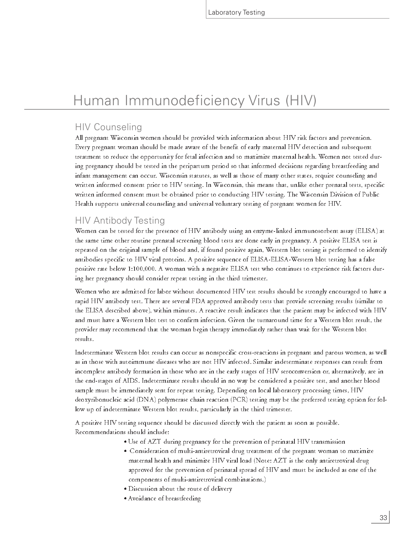### Human Immunodeficiency Virus (HIV)

### HIV Counseling

All pregnant Wisconsin women should be provided with information about HIV risk factors and prevention. Every pregnant woman should be made aware of the benefit of early maternal HIV detection and subsequent treatment to reduce the opportunity for fetal infection and to maximize maternal health. Women not tested during pregnancy should be tested in the peripartum period so that informed decisions regarding breastfeeding and infant management can occur. Wisconsin statutes, as well as those of many other states, require counseling and written informed consent prior to HIV testing. In Wisconsin, this means that, unlike other prenatal tests, specific written informed consent must be obtained prior to conducting HIV testing. The Wisconsin Division of Public Health supports universal counseling and universal voluntary testing of pregnant women for HIV.

### HIV Antibody Testing

Women can be tested for the presence of HIV antibody using an enzyme-linked immunosorbent assay (ELISA) at the same time other routine prenatal screening blood tests are done early in pregnancy. A positive ELISA test is repeated on the original sample of blood and, if found positive again, Western blot testing is performed to identify antibodies specific to HIV viral proteins. A positive sequence of ELISA-ELISA-Western blot testing has a false positive rate below 1:100,000. A woman with a negative ELISA test who continues to experience risk factors during her pregnancy should consider repeat testing in the third trimester.

Women who are admitted for labor without documented HIV test results should be strongly encouraged to have a rapid HIV antibody test. There are several FDA approved antibody tests that provide screening results (similar to the ELISA described above), within minutes. A reactive result indicates that the patient may be infected with HIV and must have a Western blot test to confirm infection. Given the turnaround time for a Western blot result, the provider may recommend that the woman begin therapy immediately rather than wait for the Western blot results.

Indeterminate Western blot results can occur as nonspecific cross-reactions in pregnant and parous women, as well as in those with autoimmune diseases who are not HIV infected. Similar indeterminate responses can result from incomplete antibody formation in those who are in the early stages of HIV seroconversion or, alternatively, are in the end-stages of AIDS. Indeterminate results should in no way be considered a positive test, and another blood sample must be immediately sent for repeat testing. Depending on local laboratory processing times, HIV deoxyribonucleic acid (DNA) polymerase chain reaction (PCR) testing may be the preferred testing option for follow up of indeterminate Western blot results, particularly in the third trimester.

A positive HIV testing sequence should be discussed directly with the patient as soon as possible. Recommendations should include:

- Use of AZT during pregnancy for the prevention of perinatal HIV transmission
- Consideration of multi-antiretroviral drug treatment of the pregnant woman to maximize maternal health and minimize HIV viral load (Note: AZT is the only antiretroviral drug approved for the prevention of perinatal spread of HIV and must be included as one of the components of multi-antiretroviral combinations.)
- Discussion about the route of delivery
- •Avoidance of breastfeeding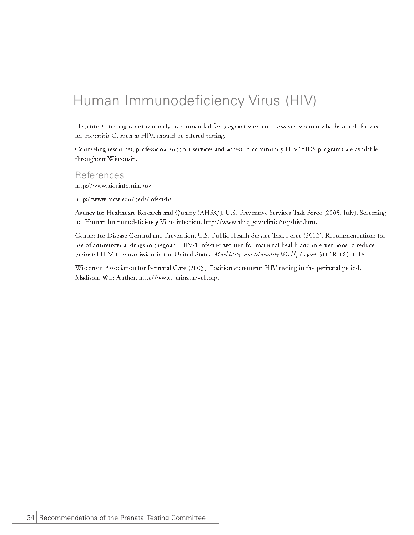# Human Immunodeficiency Virus (HIV)

Hepatitis C testing is not routinely recommended for pregnant women. However, women who have risk factors for Hepatitis C, such as HIV, should be offered testing.

Counseling resources, professional support services and access to community HIV/AIDS programs are available throughout Wisconsin.

References http://www.aidsinfo.nih.gov

http://www.mcw.edu/peds/infectdis

Agency for Healthcare Research and Quality (AHRQ), U.S. Preventive Services Task Force (2005, July). Screening for Human Immunodeficiency Virus infection. http://www.ahrq.gov/clinic/uspshivi.htm.

Centers for Disease Control and Prevention, U.S. Public Health Service Task Force (2002). Recommendations for use of antiretroviral drugs in pregnant HIV-1 infected women for maternal health and interventions to reduce perinatal HIV-1 transmission in the United States. Morbidity and Mortality Weekly Report 51(RR-18), 1-18.

Wisconsin Association for Perinatal Care (2003). Position statement: HIV testing in the perinatal period. Madison, WI.: Author. http://www.perinatalweb.org.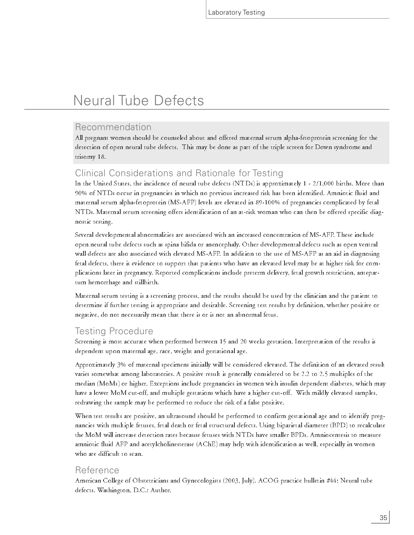# Neural Tube Defects

### Recommendation

All pregnant women should be counseled about and offered maternal serum alpha-fetoprotein screening for the detection of open neural tube defects. This may be done as part of the triple screen for Down syndrome and trisomy 18.

### Clinical Considerations and Rationale for Testing

In the United States, the incidence of neural tube defects (NTDs) is approximately 1 - 2/1,000 births. More than 90% of NTDs occur in pregnancies in which no previous increased risk has been identified. Amniotic fluid and maternal serum alpha-fetoprotein (MS-AFP) levels are elevated in 89-100% of pregnancies complicated by fetal NTDs. Maternal serum screening offers identification of an at-risk woman who can then be offered specific diagnostic testing.

Several developmental abnormalities are associated with an increased concentration of MS-AFP. These include open neural tube defects such as spina bifida or anencephaly. Other developmental defects such as open ventral wall defects are also associated with elevated MS-AFP. In addition to the use of MS-AFP as an aid in diagnosing fetal defects, there is evidence to support that patients who have an elevated level may be at higher risk for complications later in pregnancy. Reported complications include preterm delivery, fetal growth restriction, antepartum hemorrhage and stillbirth.

Maternal serum testing is a screening process, and the results should be used by the clinician and the patient to determine if further testing is appropriate and desirable. Screening test results by definition, whether positive or negative, do not necessarily mean that there is or is not an abnormal fetus.

### Testing Procedure

Screening is most accurate when performed between 15 and 20 weeks gestation. Interpretation of the results is dependent upon maternal age, race, weight and gestational age.

Approximately 3% of maternal specimens initially will be considered elevated. The definition of an elevated result varies somewhat among laboratories. A positive result is generally considered to be 2.2 to 2.5 multiples of the median (MoMs) or higher. Exceptions include pregnancies in women with insulin dependent diabetes, which may have a lower MoM cut-off, and multiple gestations which have a higher cut-off. With mildly elevated samples, redrawing the sample may be performed to reduce the risk of a false positive.

When test results are positive, an ultrasound should be performed to confirm gestational age and to identify pregnancies with multiple fetuses, fetal death or fetal structural defects. Using biparietal diameter (BPD) to recalculate the MoM will increase detection rates because fetuses with NTDs have smaller BPDs. Amniocentesis to measure amniotic fluid AFP and acetylcholinesterase (AChE) may help with identification as well, especially in women who are difficult to scan.

### Reference

American College of Obstetricians and Gynecologists (2003, July). ACOG practice bulletin #44: Neural tube defects. Washington, D.C.: Author.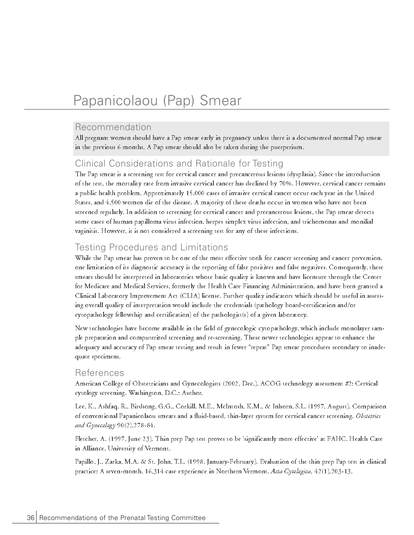# Papanicolaou (Pap) Smear

#### Recommendation

All pregnant women should have a Pap smear early in pregnancy unless there is a documented normal Pap smear in the previous 6 months. A Pap smear should also be taken during the puerperium.

### Clinical Considerations and Rationale for Testing

The Pap smear is a screening test for cervical cancer and precancerous lesions (dysplasia). Since the introduction of the test, the mortality rate from invasive cervical cancer has declined by 70%. However, cervical cancer remains a public health problem. Approximately 15,000 cases of invasive cervical cancer occur each year in the United States, and 4,500 women die of the disease. A majority of these deaths occur in women who have not been screened regularly. In addition to screening for cervical cancer and precancerous lesions, the Pap smear detects some cases of human papilloma virus infection, herpes simplex virus infection, and trichomonas and monilial vaginitis. However, it is not considered a screening test for any of these infections.

### Testing Procedures and Limitations

While the Pap smear has proven to be one of the most effective tools for cancer screening and cancer prevention, one limitation of its diagnostic accuracy is the reporting of false positives and false negatives. Consequently, these smears should be interpreted in laboratories whose basic quality is known and have licensure through the Center for Medicare and Medical Services, formerly the Health Care Financing Administration, and have been granted a Clinical Laboratory Improvement Act (CLIA) license. Further quality indicators which should be useful in assessing overall quality of interpretation would include the credentials (pathology board-certification and/or cytopathology fellowship and certification) of the pathologist(s) of a given laboratory.

New technologies have become available in the field of gynecologic cytopathology, which include monolayer sample preparation and computerized screening and re-screening. These newer technologies appear to enhance the adequacy and accuracy of Pap smear testing and result in fewer "repeat" Pap smear procedures secondary to inadequate specimens.

### References

American College of Obstetricians and Gynecologists (2002, Dec.). ACOG technology assessment #2: Cervical cytology screening. Washington, D.C.: Author.

Lee, K., Ashfaq, R., Birdsong, G.G., Corkill, M.E., McIntosh, K.M., & Inhorn, S.L. (1997, August). Comparison of conventional Papanicolaou smears and a fluid-based, thin-layer system for cervical cancer screening. Obstetrics and Gynecology 90(2),278-84.

Fletcher, A. (1997, June 23). Thin prep Pap test proves to be 'significantly more effective' at FAHC. Health Care in Alliance, University of Vermont.

Papillo, J., Zarka, M.A. & St. John, T.L. (1998, January-February). Evaluation of the thin prep Pap test in clinical practice: A seven-month, 16,314 case experience in Northern Vermont. Acta Cytologica, 42(1),203-13.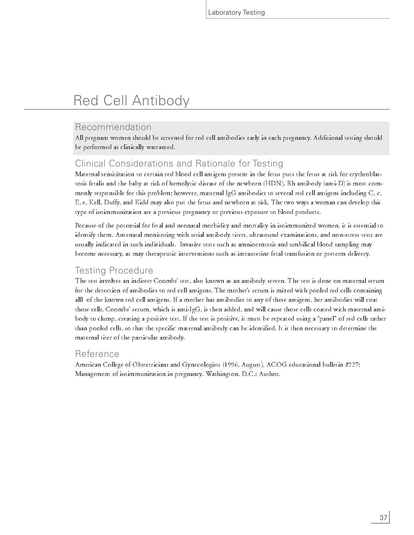# Red Cell Antibody

### Recommendation

All pregnant women should be screened for red cell antibodies early in each pregnancy. Additional testing should be performed as clinically warranted.

### Clinical Considerations and Rationale for Testing

Maternal sensitization to certain red blood cell antigens present in the fetus puts the fetus at risk for erythroblastosis fetalis and the baby at risk of hemolytic disease of the newborn (HDN). Rh antibody (anti-D) is most commonly responsible for this problem; however, maternal IgG antibodies to several red cell antigens including C, c, E, e, Kell, Duffy, and Kidd may also put the fetus and newborn at risk. The two ways a woman can develop this type of isoimmunization are a previous pregnancy or previous exposure to blood products.

Because of the potential for fetal and neonatal morbidity and mortality in isoimmunized women, it is essential to identify them. Antenatal monitoring with serial antibody titers, ultrasound examinations, and non-stress tests are usually indicated in such individuals. Invasive tests such as amniocentesis and umbilical blood sampling may become necessary, as may therapeutic interventions such as intrauterine fetal transfusion or preterm delivery.

### Testing Procedure

The test involves an indirect Coombs' test, also known as an antibody screen. The test is done on maternal serum for the detection of antibodies to red cell antigens. The mother's serum is mixed with pooled red cells containing alll of the known red cell antigens. If a mother has antibodies to any of these antigens, her antibodies will coat those cells. Coombs' serum, which is anti-IgG, is then added, and will cause those cells coated with maternal antibody to clump, creating a positive test. If the test is positive, it must be repeated using a "panel" of red cells rather than pooled cells, so that the specific maternal antibody can be identified. It is then necessary to determine the maternal titer of the particular antibody.

### Reference

American College of Obstetricians and Gynecologists (1996, August). ACOG educational bulletin #227: Management of isoimmunization in pregnancy. Washington, D.C.: Author.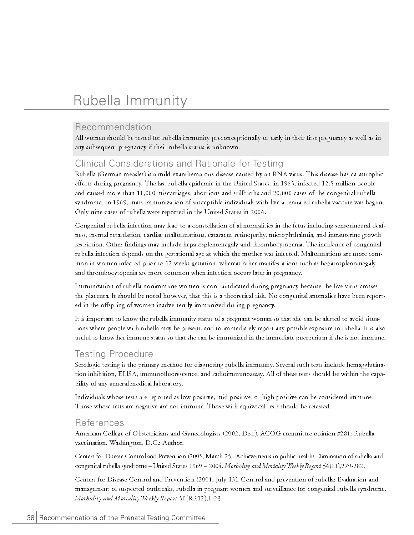# Rubella Immunity

### Recommendation

All women should be tested for rubella immunity preconceptionally or early in their first pregnancy as well as in any subsequent pregnancy if their rubella status is unknown.

### Clinical Considerations and Rationale for Testing

Rubella (German measles) is a mild exanthematous disease caused by an RNA virus. This disease has catastrophic effects during pregnancy. The last rubella epidemic in the United States, in 1965, infected 12.5 million people and caused more than 11,000 miscarriages, abortions and stillbirths and 20,000 cases of the congenital rubella syndrome. In 1969, mass immunization of susceptible individuals with live attenuated rubella vaccine was begun. Only nine cases of rubella were reported in the United States in 2004.

Congenital rubella infection may lead to a constellation of abnormalities in the fetus including sensorineural deafness, mental retardation, cardiac malformations, cataracts, retinopathy, microphthalmia, and intrauterine growth restriction. Other findings may include hepatosplenomegaly and thrombocytopenia. The incidence of congenital rubella infection depends on the gestational age at which the mother was infected. Malformations are more common in women infected prior to 12 weeks gestation, whereas other manifestations such as hepatosplenomegaly and thrombocytopenia are more common when infection occurs later in pregnancy.

Immunization of rubella nonimmune women is contraindicated during pregnancy because the live virus crosses the placenta. It should be noted however, that this is a theoretical risk. No congenital anomalies have been reported in the offspring of women inadvertently immunized during pregnancy.

It is important to know the rubella immunity status of a pregnant woman so that she can be alerted to avoid situations where people with rubella may be present, and to immediately report any possible exposure to rubella. It is also useful to know her immune status so that she can be immunized in the immediate puerperium if she is not immune.

### Testing Procedure

Serologic testing is the primary method for diagnosing rubella immunity. Several such tests include hemagglutination inhibition, ELISA, immunofluorescence, and radioimmunoassay. All of these tests should be within the capability of any general medical laboratory.

Individuals whose tests are reported as low positive, mid positive, or high positive can be considered immune. Those whose tests are negative are not immune. Those with equivocal tests should be retested.

### References

American College of Obstetricians and Gynecologists (2002, Dec.). ACOG committee opinion #281: Rubella vaccination. Washington, D.C.: Author.

Centers for Disease Control and Prevention (2005, March 25). Achievements in public health: Elimination of rubella and congenital rubella syndrome – United States 1969 – 2004. Morbidity and Mortality Weekly Report 54(11),279-282.

Centers for Disease Control and Prevention (2001, July 13). Control and prevention of rubella: Evaluation and management of suspected outbreaks, rubella in pregnant women and surveillance for congenital rubella syndrome. Morbidity and Mortality Weekly Report 50(RR12),1-23.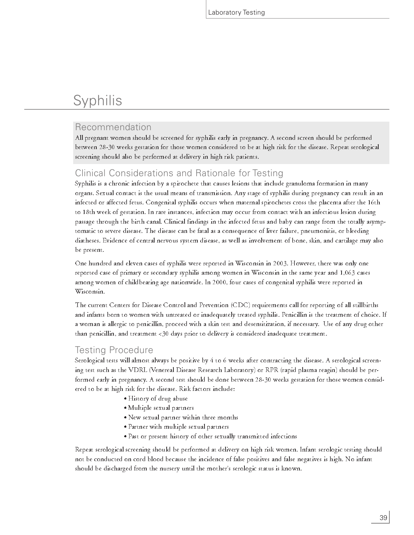# **Syphilis**

### Recommendation

All pregnant women should be screened for syphilis early in pregnancy. A second screen should be performed between 28-30 weeks gestation for those women considered to be at high risk for the disease. Repeat serological screening should also be performed at delivery in high risk patients.

### Clinical Considerations and Rationale for Testing

Syphilis is a chronic infection by a spirochete that causes lesions that include granuloma formation in many organs. Sexual contact is the usual means of transmission. Any stage of syphilis during pregnancy can result in an infected or affected fetus. Congenital syphilis occurs when maternal spirochetes cross the placenta after the 16th to 18th week of gestation. In rare instances, infection may occur from contact with an infectious lesion during passage through the birth canal. Clinical findings in the infected fetus and baby can range from the totally asymptomatic to severe disease. The disease can be fatal as a consequence of liver failure, pneumonitis, or bleeding diatheses. Evidence of central nervous system disease, as well as involvement of bone, skin, and cartilage may also be present.

One hundred and eleven cases of syphilis were reported in Wisconsin in 2003. However, there was only one reported case of primary or secondary syphilis among women in Wisconsin in the same year and 1,063 cases among women of childbearing age nationwide. In 2000, four cases of congenital syphilis were reported in Wisconsin.

The current Centers for Disease Control and Prevention (CDC) requirements call for reporting of all stillbirths and infants born to women with untreated or inadequately treated syphilis. Penicillin is the treatment of choice. If a woman is allergic to penicillin, proceed with a skin test and desensitization, if necessary. Use of any drug other than penicillin, and treatment <30 days prior to delivery is considered inadequate treatment.

### Testing Procedure

Serological tests will almost always be positive by 4 to 6 weeks after contracting the disease. A serological screening test such as the VDRL (Venereal Disease Research Laboratory) or RPR (rapid plasma reagin) should be performed early in pregnancy. A second test should be done between 28-30 weeks gestation for those women considered to be at high risk for the disease. Risk factors include:

- History of drug abuse
- •Multiple sexual partners
- New sexual partner within three months
- Partner with multiple sexual partners
- Past or present history of other sexually transmitted infections

Repeat serological screening should be performed at delivery on high risk women. Infant serologic testing should not be conducted on cord blood because the incidence of false positives and false negatives is high. No infant should be discharged from the nursery until the mother's serologic status is known.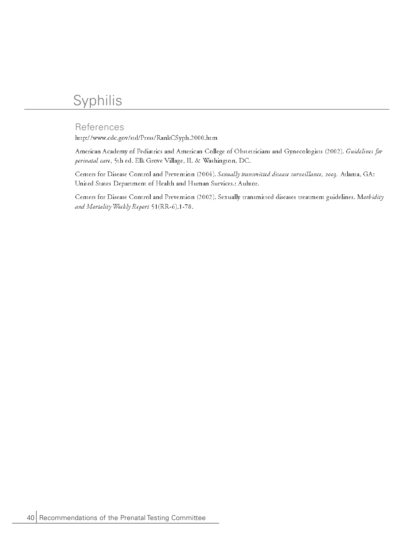### Syphilis

### References

http://www.cdc.gov/std/Press/RankCSyph.2000.htm

American Academy of Pediatrics and American College of Obstetricians and Gynecologists (2002). Guidelines for perinatal care, 5th ed. Elk Grove Village, IL & Washington, DC.

Centers for Disease Control and Prevention (2004). Sexually transmitted disease surveillance, 2003. Atlanta, GA: United States Department of Health and Human Survices.: Auhtor.

Centers for Disease Control and Prevention (2002). Sexually transmitted diseases treatment guidelines. Morbidity and Mortality Weekly Report 51(RR-6),1-78.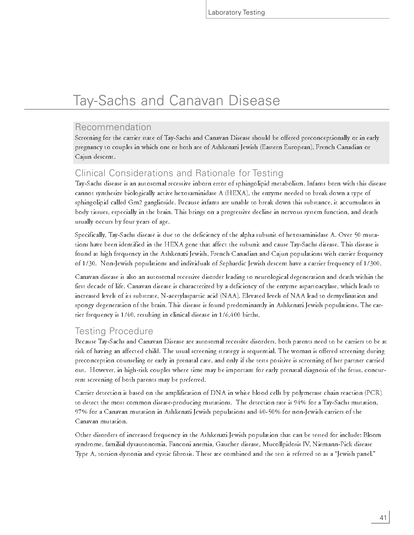### Tay-Sachs and Canavan Disease

### Recommendation

Screening for the carrier state of Tay-Sachs and Canavan Disease should be offered preconceptionally or in early pregnancy to couples in which one or both are of Ashkenazi Jewish (Eastern European), French Canadian or Cajun descent.

### Clinical Considerations and Rationale for Testing

Tay-Sachs disease is an autosomal recessive inborn error of sphingolipid metabolism. Infants born with this disease cannot synthesize biologically active hexosaminidase A (HEXA), the enzyme needed to break down a type of sphingolipid called Gm2 ganglioside. Because infants are unable to break down this substance, it accumulates in body tissues, especially in the brain. This brings on a progressive decline in nervous system function, and death usually occurs by four years of age.

Specifically, Tay-Sachs disease is due to the deficiency of the alpha subunit of hexosaminidase A. Over 50 mutations have been identified in the HEXA gene that affect the subunit and cause Tay-Sachs disease. This disease is found at high frequency in the Ashkenazi Jewish, French Canadian and Cajun populations with carrier frequency of 1/30. Non-Jewish populations and individuals of Sephardic Jewish descent have a carrier frequency of 1/300.

Canavan disease is also an autosomal recessive disorder leading to neurological degeneration and death within the first decade of life. Canavan disease is characterized by a deficiency of the enzyme aspartoacylase, which leads to increased levels of its substrate, N-acetylaspartic acid (NAA). Elevated levels of NAA lead to demyelination and spongy degeneration of the brain. This disease is found predominantly in Ashkenazi Jewish populations. The carrier frequency is 1/40, resulting in clinical disease in 1/6,400 births.

### Testing Procedure

Because Tay-Sachs and Canavan Disease are autosomal recessive disorders, both parents need to be carriers to be at risk of having an affected child. The usual screening strategy is sequential. The woman is offered screening during preconception counseling or early in prenatal care, and only if she tests positive is screening of her partner carried out. However, in high-risk couples where time may be important for early prenatal diagnosis of the fetus, concurrent screening of both parents may be preferred.

Carrier detection is based on the amplification of DNA in white blood cells by polymerase chain reaction (PCR) to detect the most common disease-producing mutations. The detection rate is 94% for a Tay-Sachs mutation, 97% for a Canavan mutation in Ashkenazi Jewish populations and 40-50% for non-Jewish carriers of the Canavan mutation.

Other disorders of increased frequency in the Ashkenazi Jewish population that can be tested for include: Bloom syndrome, familial dysautonomia, Fanconi anemia, Gaucher disease, Mucollpidosis IV, Niemann-Pick disease Type A, torsion dystonia and cystic fibrosis. These are combined and the test is referred to as a "Jewish panel."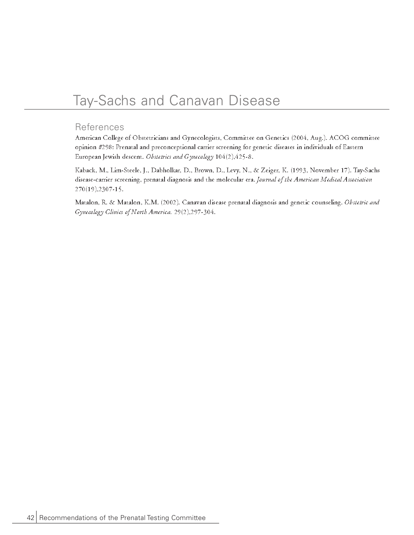### Tay-Sachs and Canavan Disease

### References

American College of Obstetricians and Gynecologists, Committee on Genetics (2004, Aug.). ACOG committee opinion #298: Prenatal and preconceptional carrier screening for genetic diseases in individuals of Eastern European Jewish descent. Obstetrics and Gynecology 104(2),425-8.

Kaback, M., Lim-Steele, J., Dabholkar, D., Brown, D., Levy, N., & Zeiger, K. (1993, November 17). Tay-Sachs disease-carrier screening, prenatal diagnosis and the molecular era. Journal of the American Medical Association 270(19),2307-15.

Matalon, R. & Matalon, K.M. (2002). Canavan disease prenatal diagnosis and genetic counseling. Obstetric and Gynecology Clinics of North America. 29(2),297-304.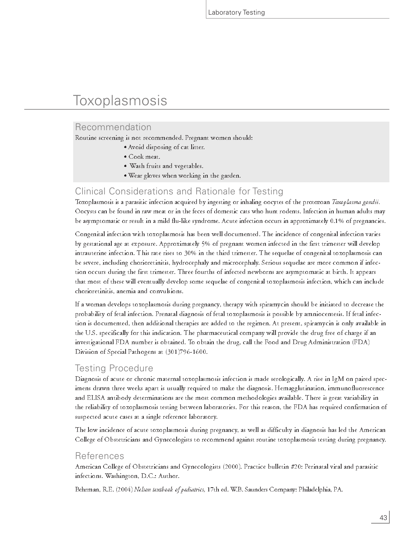### Toxoplasmosis

### Recommendation

Routine screening is not recommended. Pregnant women should:

- •Avoid disposing of cat litter.
- Cook meat.
- Wash fruits and vegetables.
- Wear gloves when working in the garden.

### Clinical Considerations and Rationale for Testing

Toxoplasmosis is a parasitic infection acquired by ingesting or inhaling oocytes of the protozoan Toxoplasma gondii. Oocysts can be found in raw meat or in the feces of domestic cats who hunt rodents. Infection in human adults may be asymptomatic or result in a mild flu-like syndrome. Acute infection occurs in approximately 0.1% of pregnancies.

Congenital infection with toxoplasmosis has been well documented. The incidence of congenital infection varies by gestational age at exposure. Approximately 5% of pregnant women infected in the first trimester will develop intrauterine infection. This rate rises to 30% in the third trimester. The sequelae of congenital toxoplasmosis can be severe, including chorioretinitis, hydrocephaly and microcephaly. Serious sequelae are more common if infection occurs during the first trimester. Three fourths of infected newborns are asymptomatic at birth. It appears that most of these will eventually develop some sequelae of congenital toxoplasmosis infection, which can include chorioretinitis, anemia and convulsions.

If a woman develops toxoplasmosis during pregnancy, therapy with spiramycin should be initiated to decrease the probability of fetal infection. Prenatal diagnosis of fetal toxoplasmosis is possible by amniocentesis. If fetal infection is documented, then additional therapies are added to the regimen. At present, spiramycin is only available in the U.S. specifically for this indication. The pharmaceutical company will provide the drug free of charge if an investigational FDA number is obtained. To obtain the drug, call the Food and Drug Administration (FDA) Division of Special Pathogens at (301)796-1600.

### Testing Procedure

Diagnosis of acute or chronic maternal toxoplasmosis infection is made serologically. A rise in IgM on paired specimens drawn three weeks apart is usually required to make the diagnosis. Hemagglutination, immunofluorescence and ELISA antibody determinations are the most common methodologies available. There is great variability in the reliability of toxoplasmosis testing between laboratories. For this reason, the FDA has required confirmation of suspected acute cases at a single reference laboratory.

The low incidence of acute toxoplasmosis during pregnancy, as well as difficulty in diagnosis has led the American College of Obstetricians and Gynecologists to recommend against routine toxoplasmosis testing during pregnancy.

### References

American College of Obstetricians and Gynecologists (2000). Practice bulletin #20: Perinatal viral and parasitic infections. Washington, D.C.: Author.

Behrman, R.E. (2004) Nelson textbook of pediatrics, 17th ed. W.B. Saunders Company: Philadelphia, PA.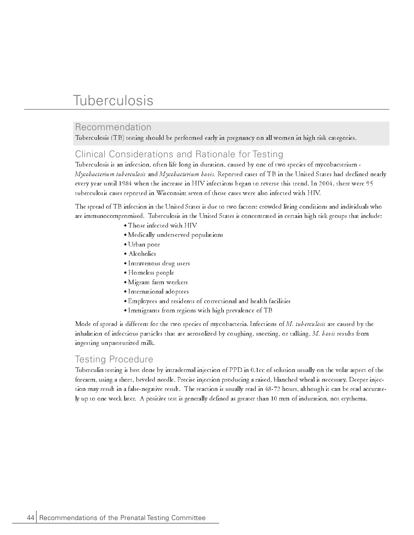### **Tuberculosis**

### Recommendation

Tuberculosis (TB) testing should be performed early in pregnancy on all women in high risk categories.

### Clinical Considerations and Rationale for Testing

Tuberculosis is an infection, often life long in duration, caused by one of two species of mycobacterium - Mycobacterium tuberculosis and Mycobacterium bovis. Reported cases of TB in the United States had declined nearly every year until 1984 when the increase in HIV infections began to reverse this trend. In 2004, there were 95 tuberculosis cases reported in Wisconsin; seven of those cases were also infected with HIV.

The spread of TB infection in the United States is due to two factors: crowded living conditions and individuals who are immunocompromised. Tuberculosis in the United States is concentrated in certain high risk groups that include:

- Those infected with HIV
- •Medically underserved populations
- Urban poor
- Alcoholics
- Intravenous drug users
- Homeless people
- •Migrant farm workers
- International adoptees
- Employees and residents of correctional and health facilities
- Immigrants from regions with high prevalence of TB

Mode of spread is different for the two species of mycobacteria. Infections of M. tuberculosis are caused by the inhalation of infectious particles that are aerosolized by coughing, sneezing, or talking. M. bovis results from ingesting unpasteurized milk.

### Testing Procedure

Tuberculin testing is best done by intradermal injection of PPD in 0.1cc of solution usually on the volar aspect of the forearm, using a short, beveled needle. Precise injection producing a raised, blanched wheal is necessary. Deeper injection may result in a false-negative result. The reaction is usually read in 48-72 hours, although it can be read accurately up to one week later. A positive test is generally defined as greater than 10 mm of induration, not erythema.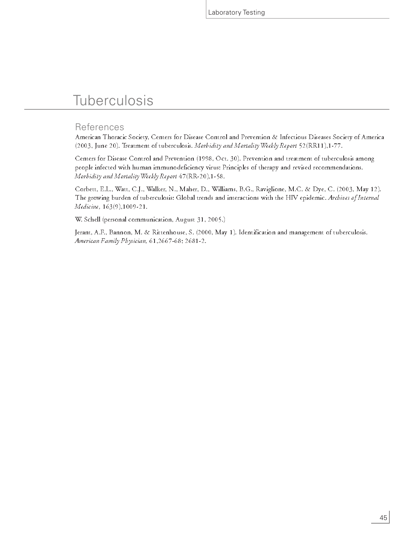### **Tuberculosis**

### References

American Thoracic Society, Centers for Disease Control and Prevention & Infectious Diseases Society of America (2003, June 20). Treatment of tuberculosis. Morbidity and Mortality Weekly Report 52(RR11),1-77.

Centers for Disease Control and Prevention (1998, Oct. 30). Prevention and treatment of tuberculosis among people infected with human immunodeficiency virus: Principles of therapy and revised recommendations. Morbidity and Mortality Weekly Report 47(RR-20),1-58.

Corbett, E.L., Watt, C.J., Walker, N., Maher, D., Williams, B.G., Raviglione, M.C. & Dye, C. (2003, May 12). The growing burden of tuberculosis: Global trends and interactions with the HIV epidemic. Archives of Internal Medicine, 163(9),1009-21.

W. Schell (personal communication, August 31, 2005.)

Jerant, A.F., Bannon, M. & Rittenhouse, S. (2000, May 1). Identification and management of tuberculosis. American Family Physician, 61,2667-68; 2681-2.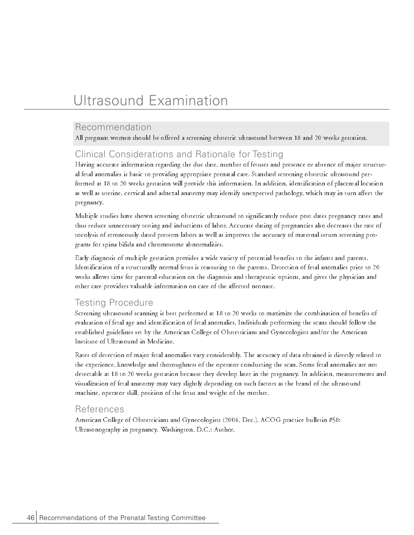# Ultrasound Examination

### Recommendation

All pregnant women should be offered a screening obstetric ultrasound between 18 and 20 weeks gestation.

### Clinical Considerations and Rationale for Testing

Having accurate information regarding the due date, number of fetuses and presence or absence of major structural fetal anomalies is basic to providing appropriate prenatal care. Standard screening obstetric ultrasound performed at 18 to 20 weeks gestation will provide this information. In addition, identification of placental location as well as uterine, cervical and adnexal anatomy may identify unexpected pathology, which may in turn affect the pregnancy.

Multiple studies have shown screening obstetric ultrasound to significantly reduce post dates pregnancy rates and thus reduce unnecessary testing and inductions of labor. Accurate dating of pregnancies also decreases the rate of tocolysis of erroneously dated preterm labors as well as improves the accuracy of maternal serum screening programs for spina bifida and chromosome abnormalities.

Early diagnosis of multiple gestation provides a wide variety of potential benefits to the infants and parents. Identification of a structurally normal fetus is reassuring to the parents. Detection of fetal anomalies prior to 20 weeks allows time for parental education on the diagnosis and therapeutic options, and gives the physician and other care providers valuable information on care of the affected neonate.

### Testing Procedure

Screening ultrasound scanning is best performed at 18 to 20 weeks to maximize the combination of benefits of evaluation of fetal age and identification of fetal anomalies. Individuals performing the scans should follow the established guidelines set by the American College of Obstetricians and Gynecologists and/or the American Institute of Ultrasound in Medicine.

Rates of detection of major fetal anomalies vary considerably. The accuracy of data obtained is directly related to the experience, knowledge and thoroughness of the operator conducting the scan. Some fetal anomalies are not detectable at 18 to 20 weeks gestation because they develop later in the pregnancy. In addition, measurements and visualization of fetal anatomy may vary slightly depending on such factors as the brand of the ultrasound machine, operator skill, position of the fetus and weight of the mother.

#### References

American College of Obstetricians and Gynecologists (2004, Dec.). ACOG practice bulletin #58: Ultrasonography in pregnancy. Washington, D.C.: Author.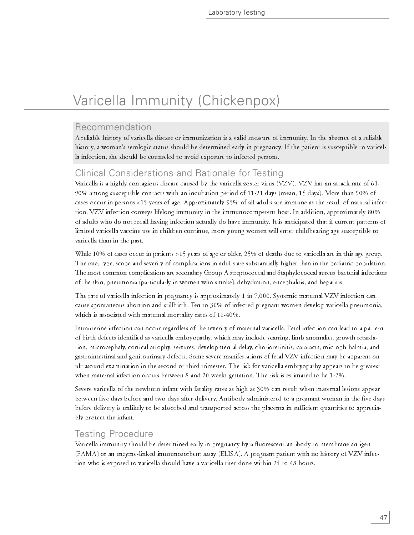# Varicella Immunity (Chickenpox)

### Recommendation

A reliable history of varicella disease or immunization is a valid measure of immunity. In the absence of a reliable history, a woman's serologic status should be determined early in pregnancy. If the patient is susceptible to varicella infection, she should be counseled to avoid exposure to infected persons.

### Clinical Considerations and Rationale for Testing

Varicella is a highly contagious disease caused by the varicella zoster virus (VZV). VZV has an attack rate of 61- 90% among susceptible contacts with an incubation period of 11-21 days (mean, 15 days). More than 90% of cases occur in persons <15 years of age. Approximately 95% of all adults are immune as the result of natural infection. VZV infection conveys lifelong immunity in the immunocompetent host. In addition, approximately 80% of adults who do not recall having infection actually do have immunity. It is anticipated that if current patterns of limited varicella vaccine use in children continue, more young women will enter childbearing age susceptible to varicella than in the past.

While 10% of cases occur in patients >15 years of age or older, 25% of deaths due to varicella are in this age group. The rate, type, scope and severity of complications in adults are substantially higher than in the pediatric population. The most common complications are secondary Group A streptococcal and Staphylococcal aureus bacterial infections of the skin, pneumonia (particularly in women who smoke), dehydration, encephalitis, and hepatitis.

The rate of varicella infection in pregnancy is approximately 1 in 7,000. Systemic maternal VZV infection can cause spontaneous abortion and stillbirth. Ten to 30% of infected pregnant women develop varicella pneumonia, which is associated with maternal mortality rates of 11-40%.

Intrauterine infection can occur regardless of the severity of maternal varicella. Fetal infection can lead to a pattern of birth defects identified as varicella embryopathy, which may include scarring, limb anomalies, growth retardation, microcephaly, cortical atrophy, seizures, developmental delay, chorioretinitis, cataracts, microphthalmia, and gastrointestinal and genitourinary defects. Some severe manifestations of fetal VZV infection may be apparent on ultrasound examination in the second or third trimester. The risk for varicella embryopathy appears to be greatest when maternal infection occurs between 8 and 20 weeks gestation. The risk is estimated to be 1-2%.

Severe varicella of the newborn infant with fatality rates as high as 30% can result when maternal lesions appear between five days before and two days after delivery. Antibody administered to a pregnant woman in the five days before delivery is unlikely to be absorbed and transported across the placenta in sufficient quantities to appreciably protect the infant.

### Testing Procedure

Varicella immunity should be determined early in pregnancy by a fluorescent antibody to membrane antigen (FAMA) or an enzyme-linked immunosorbent assay (ELISA). A pregnant patient with no history of VZV infection who is exposed to varicella should have a varicella titer done within 24 to 48 hours.